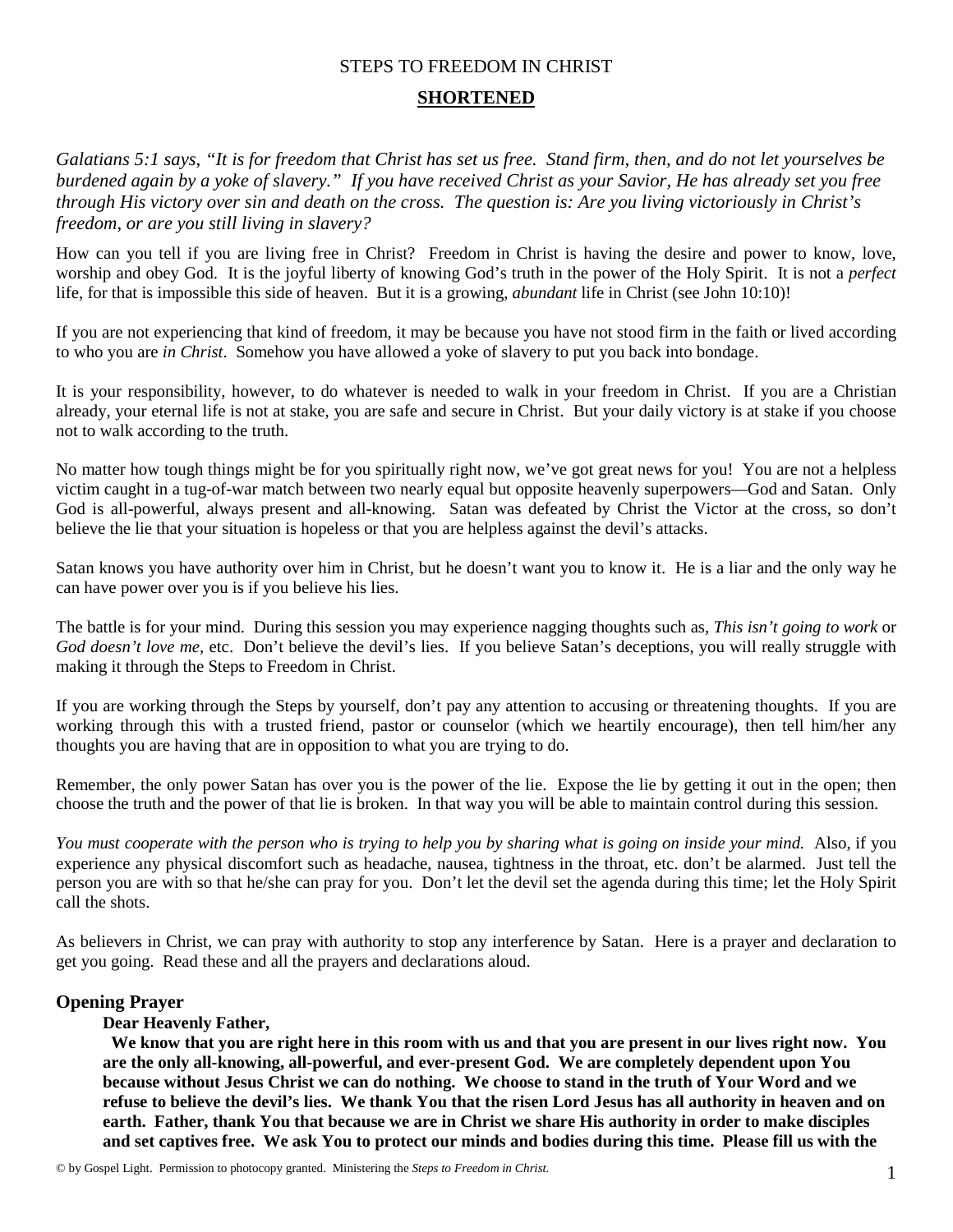## STEPS TO FREEDOM IN CHRIST

### **SHORTENED**

*Galatians 5:1 says, "It is for freedom that Christ has set us free. Stand firm, then, and do not let yourselves be burdened again by a yoke of slavery." If you have received Christ as your Savior, He has already set you free through His victory over sin and death on the cross. The question is: Are you living victoriously in Christ's freedom, or are you still living in slavery?*

How can you tell if you are living free in Christ? Freedom in Christ is having the desire and power to know, love, worship and obey God. It is the joyful liberty of knowing God's truth in the power of the Holy Spirit. It is not a *perfect* life, for that is impossible this side of heaven. But it is a growing, *abundant* life in Christ (see John 10:10)!

If you are not experiencing that kind of freedom, it may be because you have not stood firm in the faith or lived according to who you are *in Christ*. Somehow you have allowed a yoke of slavery to put you back into bondage.

It is your responsibility, however, to do whatever is needed to walk in your freedom in Christ. If you are a Christian already, your eternal life is not at stake, you are safe and secure in Christ. But your daily victory is at stake if you choose not to walk according to the truth.

No matter how tough things might be for you spiritually right now, we've got great news for you! You are not a helpless victim caught in a tug-of-war match between two nearly equal but opposite heavenly superpowers—God and Satan. Only God is all-powerful, always present and all-knowing. Satan was defeated by Christ the Victor at the cross, so don't believe the lie that your situation is hopeless or that you are helpless against the devil's attacks.

Satan knows you have authority over him in Christ, but he doesn't want you to know it. He is a liar and the only way he can have power over you is if you believe his lies.

The battle is for your mind. During this session you may experience nagging thoughts such as, *This isn't going to work* or *God doesn't love me,* etc. Don't believe the devil's lies. If you believe Satan's deceptions, you will really struggle with making it through the Steps to Freedom in Christ.

If you are working through the Steps by yourself, don't pay any attention to accusing or threatening thoughts. If you are working through this with a trusted friend, pastor or counselor (which we heartily encourage), then tell him/her any thoughts you are having that are in opposition to what you are trying to do.

Remember, the only power Satan has over you is the power of the lie. Expose the lie by getting it out in the open; then choose the truth and the power of that lie is broken. In that way you will be able to maintain control during this session.

*You must cooperate with the person who is trying to help you by sharing what is going on inside your mind.* Also, if you experience any physical discomfort such as headache, nausea, tightness in the throat, etc. don't be alarmed. Just tell the person you are with so that he/she can pray for you. Don't let the devil set the agenda during this time; let the Holy Spirit call the shots.

As believers in Christ, we can pray with authority to stop any interference by Satan. Here is a prayer and declaration to get you going. Read these and all the prayers and declarations aloud.

### **Opening Prayer**

## **Dear Heavenly Father,**

 **We know that you are right here in this room with us and that you are present in our lives right now. You are the only all-knowing, all-powerful, and ever-present God. We are completely dependent upon You because without Jesus Christ we can do nothing. We choose to stand in the truth of Your Word and we refuse to believe the devil's lies. We thank You that the risen Lord Jesus has all authority in heaven and on earth. Father, thank You that because we are in Christ we share His authority in order to make disciples and set captives free. We ask You to protect our minds and bodies during this time. Please fill us with the**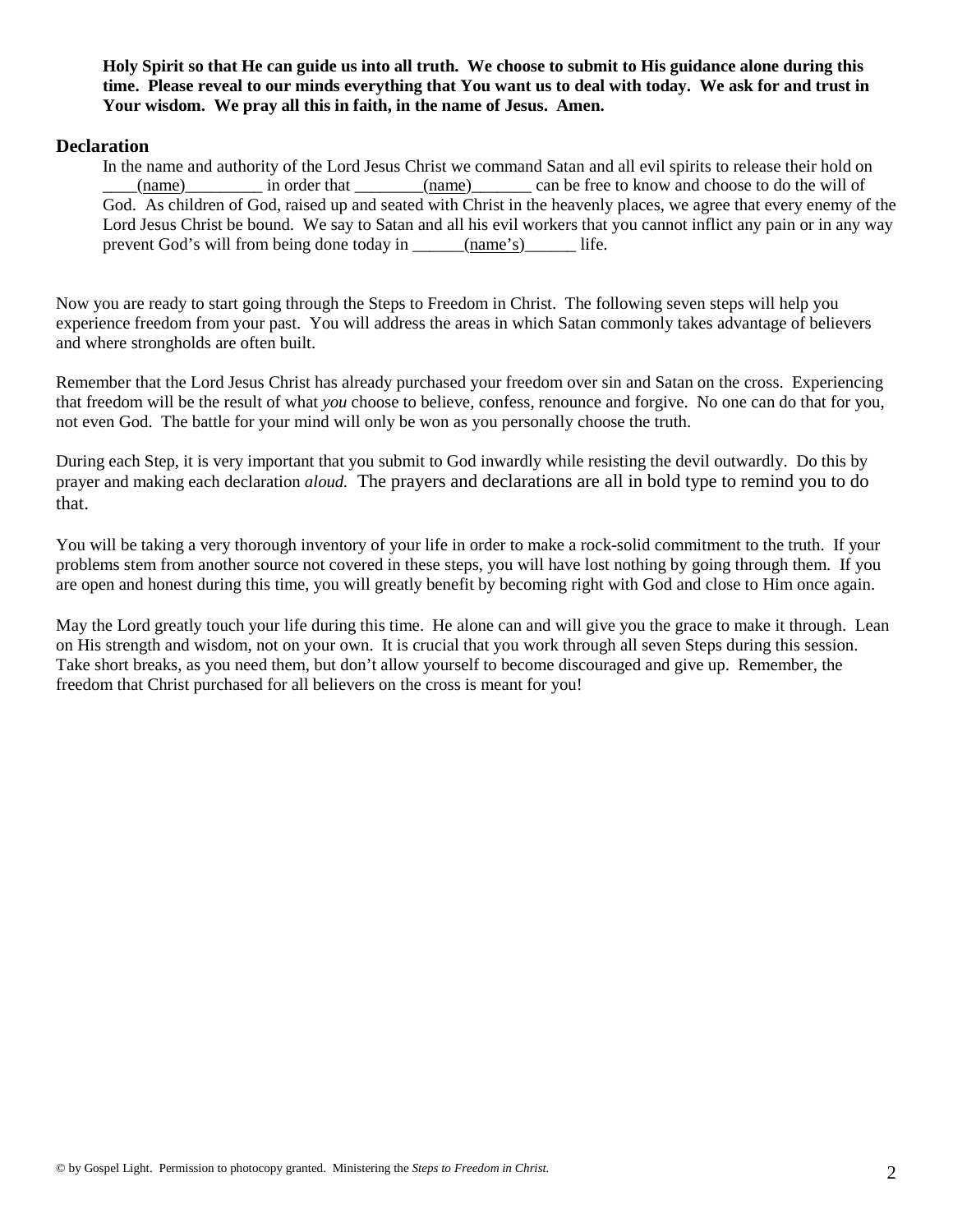**Holy Spirit so that He can guide us into all truth. We choose to submit to His guidance alone during this time. Please reveal to our minds everything that You want us to deal with today. We ask for and trust in Your wisdom. We pray all this in faith, in the name of Jesus. Amen.**

#### **Declaration**

In the name and authority of the Lord Jesus Christ we command Satan and all evil spirits to release their hold on \_\_\_\_(name)\_\_\_\_\_\_\_\_\_ in order that \_\_\_\_\_\_\_\_(name)\_\_\_\_\_\_\_ can be free to know and choose to do the will of God. As children of God, raised up and seated with Christ in the heavenly places, we agree that every enemy of the Lord Jesus Christ be bound. We say to Satan and all his evil workers that you cannot inflict any pain or in any way prevent God's will from being done today in \_\_\_\_\_\_(name's)\_\_\_\_\_\_ life.

Now you are ready to start going through the Steps to Freedom in Christ. The following seven steps will help you experience freedom from your past. You will address the areas in which Satan commonly takes advantage of believers and where strongholds are often built.

Remember that the Lord Jesus Christ has already purchased your freedom over sin and Satan on the cross. Experiencing that freedom will be the result of what *you* choose to believe, confess, renounce and forgive. No one can do that for you, not even God. The battle for your mind will only be won as you personally choose the truth.

During each Step, it is very important that you submit to God inwardly while resisting the devil outwardly. Do this by prayer and making each declaration *aloud.* The prayers and declarations are all in bold type to remind you to do that.

You will be taking a very thorough inventory of your life in order to make a rock-solid commitment to the truth. If your problems stem from another source not covered in these steps, you will have lost nothing by going through them. If you are open and honest during this time, you will greatly benefit by becoming right with God and close to Him once again.

May the Lord greatly touch your life during this time. He alone can and will give you the grace to make it through. Lean on His strength and wisdom, not on your own. It is crucial that you work through all seven Steps during this session. Take short breaks, as you need them, but don't allow yourself to become discouraged and give up. Remember, the freedom that Christ purchased for all believers on the cross is meant for you!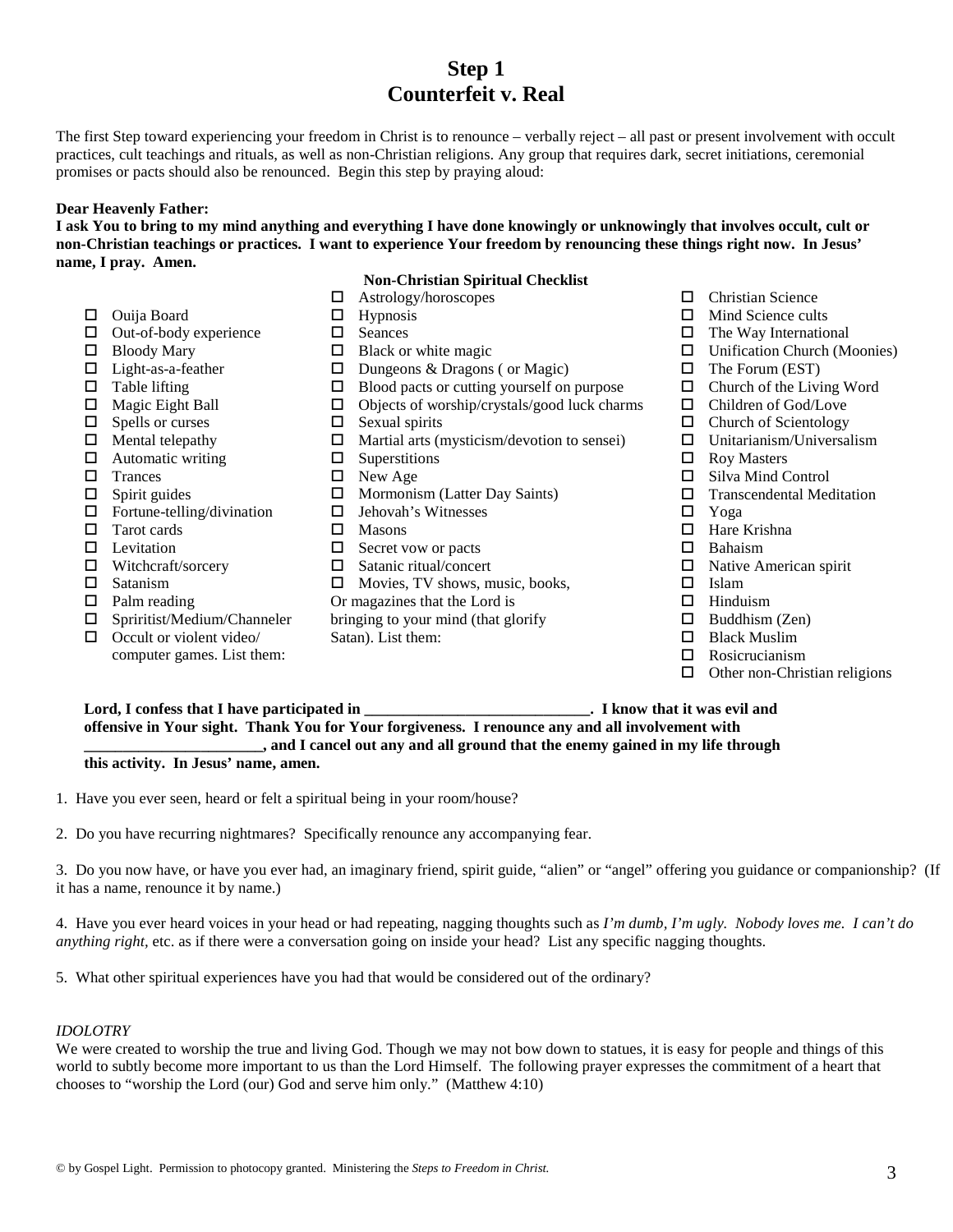# **Step 1 Counterfeit v. Real**

The first Step toward experiencing your freedom in Christ is to renounce – verbally reject – all past or present involvement with occult practices, cult teachings and rituals, as well as non-Christian religions. Any group that requires dark, secret initiations, ceremonial promises or pacts should also be renounced. Begin this step by praying aloud:

#### **Dear Heavenly Father:**

**I ask You to bring to my mind anything and everything I have done knowingly or unknowingly that involves occult, cult or non-Christian teachings or practices. I want to experience Your freedom by renouncing these things right now. In Jesus' name, I pray. Amen. Non-Christian Spiritual Checklist**

 Ouija Board  $\Box$  Out-of-body experience □ Bloody Mary  $\Box$  Light-as-a-feather  $\square$  Table lifting  $\Box$  Magic Eight Ball  $\square$  Spells or curses  $\Box$  Mental telepathy  $\Box$  Automatic writing  $\Box$  Trances  $\square$  Spirit guides  $\Box$  Fortune-telling/divination □ Tarot cards  $\square$  Levitation □ Witchcraft/sorcery Satanism  $\Box$  Palm reading □ Spriritist/Medium/Channeler  $\Box$  Occult or violent video/ computer games. List them: Astrology/horoscopes  $\Box$  Hypnosis □ Seances  $\Box$  Black or white magic  $\Box$  Dungeons & Dragons (or Magic)  $\Box$  Blood pacts or cutting yourself on purpose  $\Box$  Objects of worship/crystals/good luck charms  $\Box$  Sexual spirits  $\Box$  Martial arts (mysticism/devotion to sensei)  $\square$  Superstitions New Age  $\Box$  Mormonism (Latter Day Saints)  $\Box$  Jehovah's Witnesses □ Masons  $\Box$  Secret vow or pacts  $\square$  Satanic ritual/concert  $\Box$  Movies, TV shows, music, books, Or magazines that the Lord is bringing to your mind (that glorify Satan). List them: Christian Science □ Mind Science cults  $\Box$  The Way International Unification Church (Moonies)  $\Box$  The Forum (EST)<br> $\Box$  Church of the Livi Church of the Living Word Children of God/Love  $\Box$  Church of Scientology Unitarianism/Universalism □ Roy Masters □ Silva Mind Control  $\square$  Transcendental Meditation Yoga □ Hare Krishna Bahaism  $\Box$  Native American spirit  $\square$  Islam  $\Box$  Hinduism  $\Box$  Buddhism (Zen) □ Black Muslim Rosicrucianism  $\Box$  Other non-Christian religions

**Lord, I confess that I have participated in \_\_\_\_\_\_\_\_\_\_\_\_\_\_\_\_\_\_\_\_\_\_\_\_\_\_\_\_\_. I know that it was evil and offensive in Your sight. Thank You for Your forgiveness. I renounce any and all involvement with \_\_\_\_\_\_\_\_\_\_\_\_\_\_\_\_\_\_\_\_\_\_\_, and I cancel out any and all ground that the enemy gained in my life through this activity. In Jesus' name, amen.**

1. Have you ever seen, heard or felt a spiritual being in your room/house?

2. Do you have recurring nightmares? Specifically renounce any accompanying fear.

3. Do you now have, or have you ever had, an imaginary friend, spirit guide, "alien" or "angel" offering you guidance or companionship? (If it has a name, renounce it by name.)

4. Have you ever heard voices in your head or had repeating, nagging thoughts such as *I'm dumb, I'm ugly. Nobody loves me. I can't do anything right,* etc. as if there were a conversation going on inside your head? List any specific nagging thoughts.

5. What other spiritual experiences have you had that would be considered out of the ordinary?

#### *IDOLOTRY*

We were created to worship the true and living God. Though we may not bow down to statues, it is easy for people and things of this world to subtly become more important to us than the Lord Himself. The following prayer expresses the commitment of a heart that chooses to "worship the Lord (our) God and serve him only." (Matthew 4:10)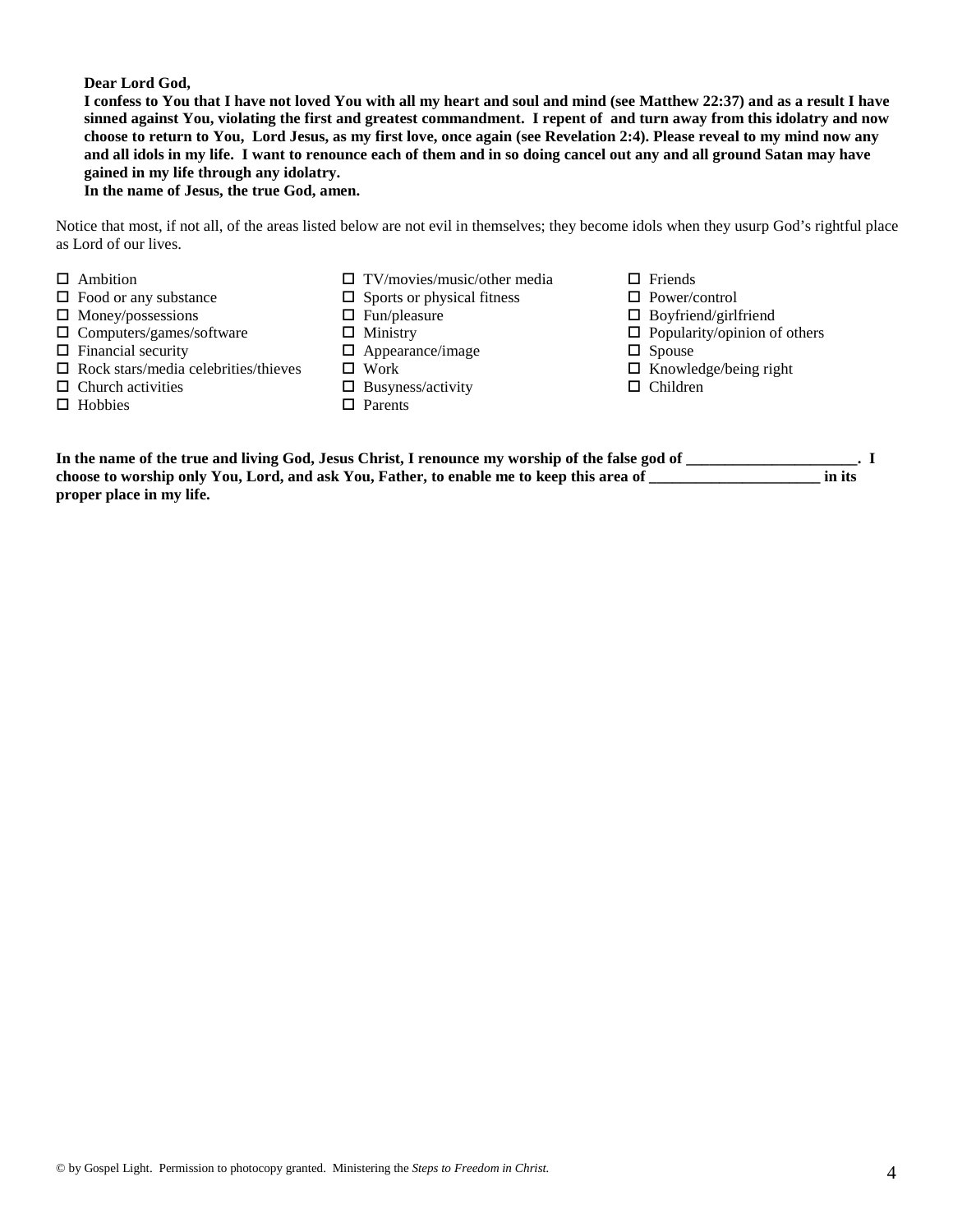#### **Dear Lord God,**

**I confess to You that I have not loved You with all my heart and soul and mind (see Matthew 22:37) and as a result I have sinned against You, violating the first and greatest commandment. I repent of and turn away from this idolatry and now choose to return to You, Lord Jesus, as my first love, once again (see Revelation 2:4). Please reveal to my mind now any and all idols in my life. I want to renounce each of them and in so doing cancel out any and all ground Satan may have gained in my life through any idolatry.**

**In the name of Jesus, the true God, amen.**

Notice that most, if not all, of the areas listed below are not evil in themselves; they become idols when they usurp God's rightful place as Lord of our lives.

> $\Box$  TV/movies/music/other media  $\square$  Sports or physical fitness

- Ambition
- □ Food or any substance
- $\square$  Money/possessions
- □ Computers/games/software
- $\Box$  Financial security
- $\square$  Rock stars/media celebrities/thieves
- $\Box$  Church activities
- $\Box$  Hobbies
- $\Box$  Fun/pleasure □ Ministry
	- $\square$  Appearance/image
	- Work
	- $\square$  Busyness/activity
	- $\Box$  Parents
- $\Box$  Friends
- □ Power/control
- $\square$  Boyfriend/girlfriend
- $\Box$  Popularity/opinion of others
- $\square$  Spouse
- $\Box$  Knowledge/being right
- □ Children

| In the name of the true and living God, Jesus Christ, I renounce my worship of the false god of |        |
|-------------------------------------------------------------------------------------------------|--------|
| choose to worship only You, Lord, and ask You, Father, to enable me to keep this area of        | in its |
| proper place in my life.                                                                        |        |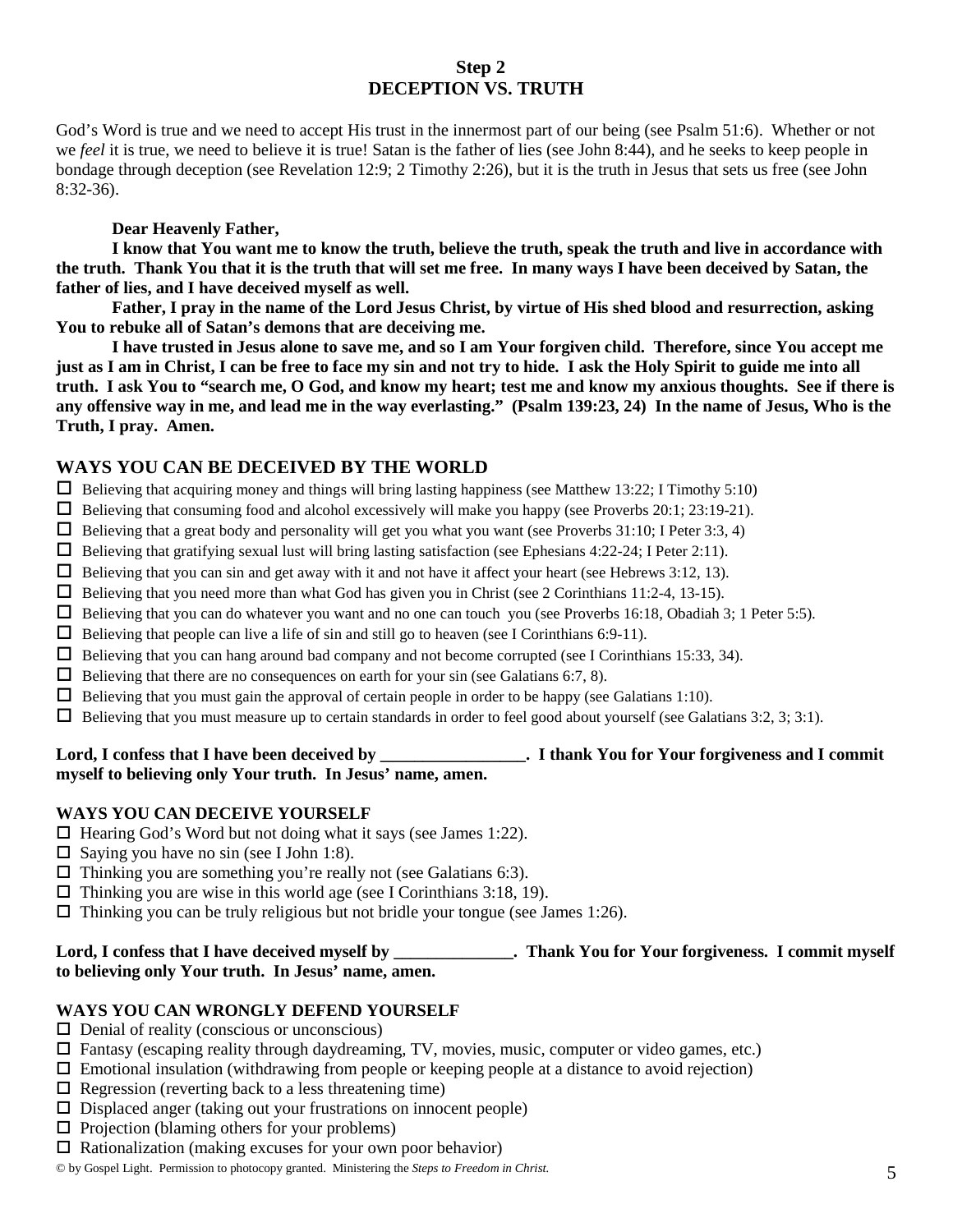## **Step 2 DECEPTION VS. TRUTH**

God's Word is true and we need to accept His trust in the innermost part of our being (see Psalm 51:6). Whether or not we *feel* it is true, we need to believe it is true! Satan is the father of lies (see John 8:44), and he seeks to keep people in bondage through deception (see Revelation 12:9; 2 Timothy 2:26), but it is the truth in Jesus that sets us free (see John 8:32-36).

## **Dear Heavenly Father,**

**I know that You want me to know the truth, believe the truth, speak the truth and live in accordance with the truth. Thank You that it is the truth that will set me free. In many ways I have been deceived by Satan, the father of lies, and I have deceived myself as well.**

**Father, I pray in the name of the Lord Jesus Christ, by virtue of His shed blood and resurrection, asking You to rebuke all of Satan's demons that are deceiving me.**

**I have trusted in Jesus alone to save me, and so I am Your forgiven child. Therefore, since You accept me just as I am in Christ, I can be free to face my sin and not try to hide. I ask the Holy Spirit to guide me into all truth. I ask You to "search me, O God, and know my heart; test me and know my anxious thoughts. See if there is any offensive way in me, and lead me in the way everlasting." (Psalm 139:23, 24) In the name of Jesus, Who is the Truth, I pray. Amen.**

## **WAYS YOU CAN BE DECEIVED BY THE WORLD**

- $\Box$  Believing that acquiring money and things will bring lasting happiness (see Matthew 13:22; I Timothy 5:10)
- $\Box$  Believing that consuming food and alcohol excessively will make you happy (see Proverbs 20:1; 23:19-21).
- $\Box$  Believing that a great body and personality will get you what you want (see Proverbs 31:10; I Peter 3:3, 4)
- $\Box$  Believing that gratifying sexual lust will bring lasting satisfaction (see Ephesians 4:22-24; I Peter 2:11).
- $\Box$  Believing that you can sin and get away with it and not have it affect your heart (see Hebrews 3:12, 13).
- $\Box$  Believing that you need more than what God has given you in Christ (see 2 Corinthians 11:2-4, 13-15).
- $\Box$  Believing that you can do whatever you want and no one can touch you (see Proverbs 16:18, Obadiah 3; 1 Peter 5:5).
- $\Box$  Believing that people can live a life of sin and still go to heaven (see I Corinthians 6:9-11).
- $\Box$  Believing that you can hang around bad company and not become corrupted (see I Corinthians 15:33, 34).
- $\Box$  Believing that there are no consequences on earth for your sin (see Galatians 6:7, 8).
- $\Box$  Believing that you must gain the approval of certain people in order to be happy (see Galatians 1:10).
- $\Box$  Believing that you must measure up to certain standards in order to feel good about yourself (see Galatians 3:2, 3; 3:1).

## Lord, I confess that I have been deceived by \_\_\_\_\_\_\_\_\_\_\_\_\_\_\_\_\_\_. I thank You for Your forgiveness and I commit **myself to believing only Your truth. In Jesus' name, amen.**

## **WAYS YOU CAN DECEIVE YOURSELF**

- $\Box$  Hearing God's Word but not doing what it says (see James 1:22).
- $\Box$  Saying you have no sin (see I John 1:8).
- $\Box$  Thinking you are something you're really not (see Galatians 6:3).
- $\Box$  Thinking you are wise in this world age (see I Corinthians 3:18, 19).
- $\Box$  Thinking you can be truly religious but not bridle your tongue (see James 1:26).

## Lord, I confess that I have deceived myself by **the contract of the State Town Confess**. I commit myself **by**  $\blacksquare$ **to believing only Your truth. In Jesus' name, amen.**

### **WAYS YOU CAN WRONGLY DEFEND YOURSELF**

- $\Box$  Denial of reality (conscious or unconscious)
- $\Box$  Fantasy (escaping reality through daydreaming, TV, movies, music, computer or video games, etc.)
- $\Box$  Emotional insulation (withdrawing from people or keeping people at a distance to avoid rejection)
- $\Box$  Regression (reverting back to a less threatening time)
- $\square$  Displaced anger (taking out your frustrations on innocent people)
- $\Box$  Projection (blaming others for your problems)
- $\Box$  Rationalization (making excuses for your own poor behavior)
- © by Gospel Light. Permission to photocopy granted. Ministering the *Steps to Freedom in Christ.* 5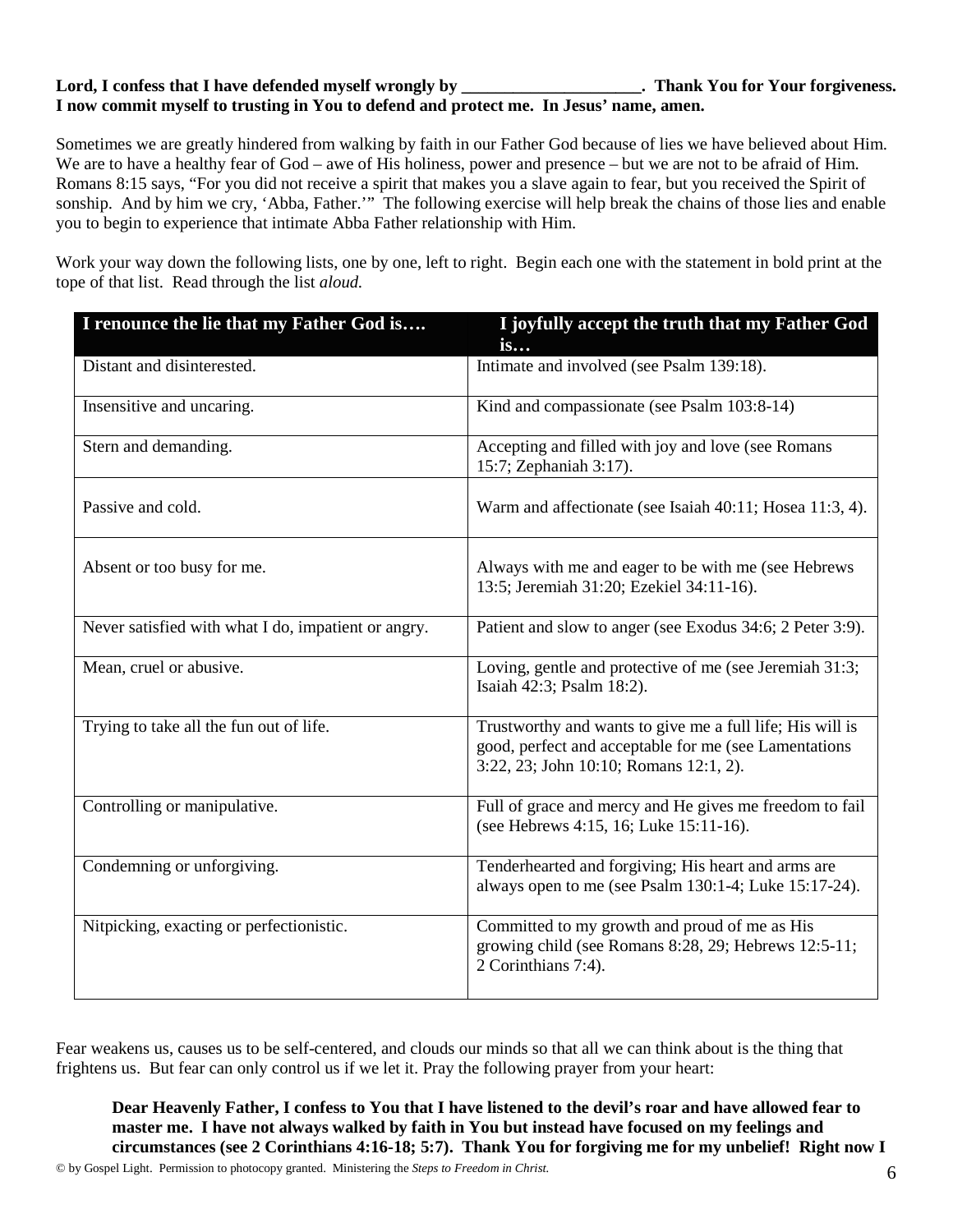## Lord, I confess that I have defended myself wrongly by **the contract of the State Confess** in the State of Tour for Your forgiveness. **I now commit myself to trusting in You to defend and protect me. In Jesus' name, amen.**

Sometimes we are greatly hindered from walking by faith in our Father God because of lies we have believed about Him. We are to have a healthy fear of God – awe of His holiness, power and presence – but we are not to be afraid of Him. Romans 8:15 says, "For you did not receive a spirit that makes you a slave again to fear, but you received the Spirit of sonship. And by him we cry, 'Abba, Father.'" The following exercise will help break the chains of those lies and enable you to begin to experience that intimate Abba Father relationship with Him.

Work your way down the following lists, one by one, left to right. Begin each one with the statement in bold print at the tope of that list. Read through the list *aloud.*

| I renounce the lie that my Father God is            | I joyfully accept the truth that my Father God<br>is                                                                                                         |
|-----------------------------------------------------|--------------------------------------------------------------------------------------------------------------------------------------------------------------|
| Distant and disinterested.                          | Intimate and involved (see Psalm 139:18).                                                                                                                    |
| Insensitive and uncaring.                           | Kind and compassionate (see Psalm 103:8-14)                                                                                                                  |
| Stern and demanding.                                | Accepting and filled with joy and love (see Romans<br>15:7; Zephaniah 3:17).                                                                                 |
| Passive and cold.                                   | Warm and affectionate (see Isaiah 40:11; Hosea 11:3, 4).                                                                                                     |
| Absent or too busy for me.                          | Always with me and eager to be with me (see Hebrews<br>13:5; Jeremiah 31:20; Ezekiel 34:11-16).                                                              |
| Never satisfied with what I do, impatient or angry. | Patient and slow to anger (see Exodus 34:6; 2 Peter 3:9).                                                                                                    |
| Mean, cruel or abusive.                             | Loving, gentle and protective of me (see Jeremiah 31:3;<br>Isaiah 42:3; Psalm 18:2).                                                                         |
| Trying to take all the fun out of life.             | Trustworthy and wants to give me a full life; His will is<br>good, perfect and acceptable for me (see Lamentations<br>3:22, 23; John 10:10; Romans 12:1, 2). |
| Controlling or manipulative.                        | Full of grace and mercy and He gives me freedom to fail<br>(see Hebrews 4:15, 16; Luke 15:11-16).                                                            |
| Condemning or unforgiving.                          | Tenderhearted and forgiving; His heart and arms are<br>always open to me (see Psalm 130:1-4; Luke 15:17-24).                                                 |
| Nitpicking, exacting or perfectionistic.            | Committed to my growth and proud of me as His<br>growing child (see Romans 8:28, 29; Hebrews 12:5-11;<br>2 Corinthians 7:4).                                 |

Fear weakens us, causes us to be self-centered, and clouds our minds so that all we can think about is the thing that frightens us. But fear can only control us if we let it. Pray the following prayer from your heart:

**Dear Heavenly Father, I confess to You that I have listened to the devil's roar and have allowed fear to master me. I have not always walked by faith in You but instead have focused on my feelings and circumstances (see 2 Corinthians 4:16-18; 5:7). Thank You for forgiving me for my unbelief! Right now I** 

© by Gospel Light. Permission to photocopy granted. Ministering the *Steps to Freedom in Christ.* 6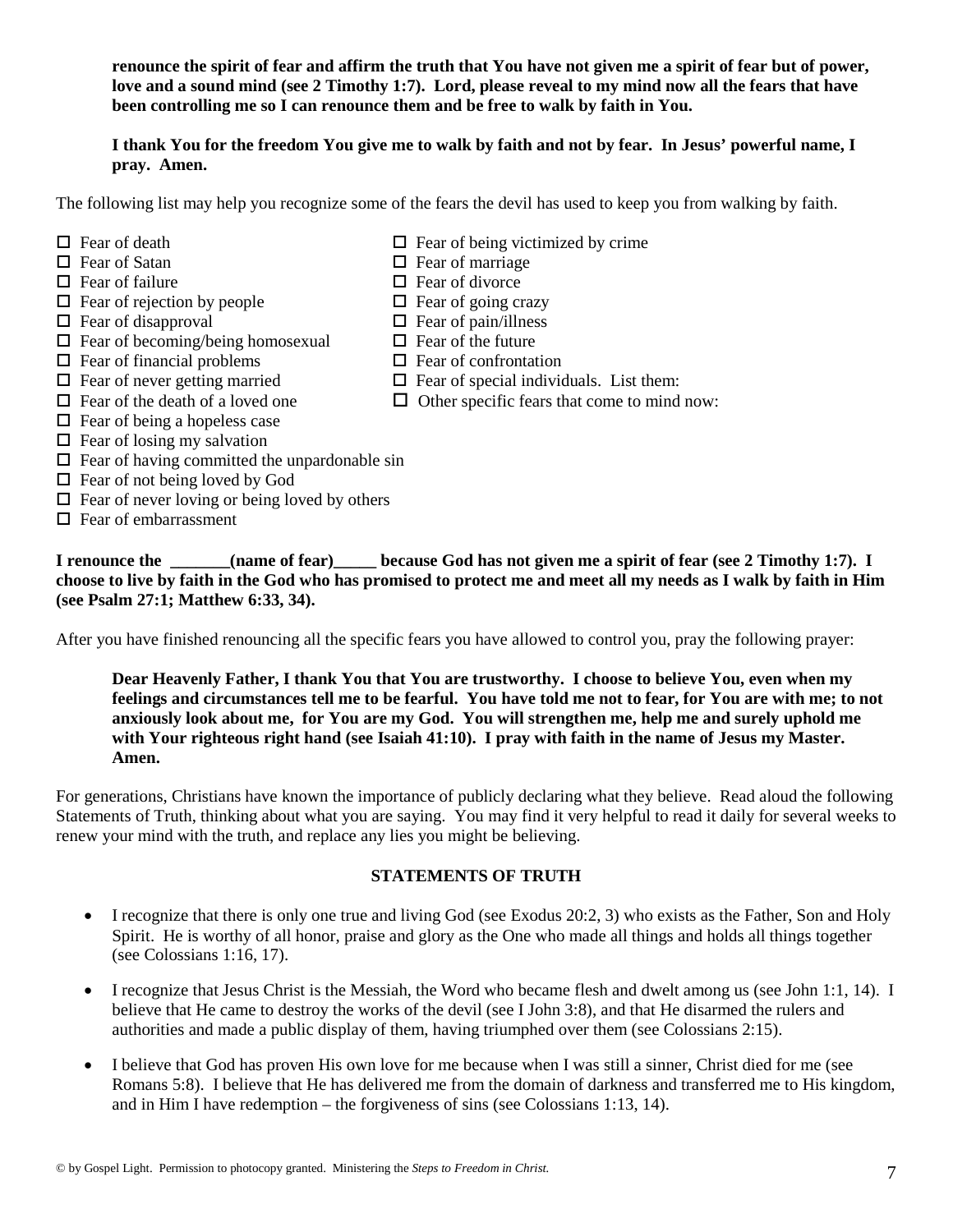**renounce the spirit of fear and affirm the truth that You have not given me a spirit of fear but of power, love and a sound mind (see 2 Timothy 1:7). Lord, please reveal to my mind now all the fears that have been controlling me so I can renounce them and be free to walk by faith in You.** 

**I thank You for the freedom You give me to walk by faith and not by fear. In Jesus' powerful name, I pray. Amen.**

The following list may help you recognize some of the fears the devil has used to keep you from walking by faith.

- 
- 
- 
- $\Box$  Fear of rejection by people  $\Box$  Fear of going crazy  $\Box$  Fear of pain/illness
- $\Box$  Fear of disapproval
- $\Box$  Fear of becoming/being homosexual  $\Box$  Fear of the future
- $\Box$  Fear of financial problems  $\Box$  Fear of confrontation
- 
- 
- $\Box$  Fear of being a hopeless case
- $\Box$  Fear of losing my salvation
- $\Box$  Fear of having committed the unpardonable sin
- $\Box$  Fear of not being loved by God
- $\Box$  Fear of never loving or being loved by others
- $\Box$  Fear of embarrassment

**I renounce the \_\_\_\_\_\_\_(name of fear)\_\_\_\_\_ because God has not given me a spirit of fear (see 2 Timothy 1:7). I choose to live by faith in the God who has promised to protect me and meet all my needs as I walk by faith in Him (see Psalm 27:1; Matthew 6:33, 34).**

After you have finished renouncing all the specific fears you have allowed to control you, pray the following prayer:

**Dear Heavenly Father, I thank You that You are trustworthy. I choose to believe You, even when my feelings and circumstances tell me to be fearful. You have told me not to fear, for You are with me; to not anxiously look about me, for You are my God. You will strengthen me, help me and surely uphold me with Your righteous right hand (see Isaiah 41:10). I pray with faith in the name of Jesus my Master. Amen.**

For generations, Christians have known the importance of publicly declaring what they believe. Read aloud the following Statements of Truth, thinking about what you are saying. You may find it very helpful to read it daily for several weeks to renew your mind with the truth, and replace any lies you might be believing.

### **STATEMENTS OF TRUTH**

- I recognize that there is only one true and living God (see Exodus 20:2, 3) who exists as the Father, Son and Holy Spirit. He is worthy of all honor, praise and glory as the One who made all things and holds all things together (see Colossians 1:16, 17).
- I recognize that Jesus Christ is the Messiah, the Word who became flesh and dwelt among us (see John 1:1, 14). I believe that He came to destroy the works of the devil (see I John 3:8), and that He disarmed the rulers and authorities and made a public display of them, having triumphed over them (see Colossians 2:15).
- I believe that God has proven His own love for me because when I was still a sinner, Christ died for me (see Romans 5:8). I believe that He has delivered me from the domain of darkness and transferred me to His kingdom, and in Him I have redemption – the forgiveness of sins (see Colossians 1:13, 14).
- $\Box$  Fear of death  $\Box$  Fear of being victimized by crime
- $\Box$  Fear of Satan  $\Box$  Fear of marriage
- $\Box$  Fear of failure  $\Box$  Fear of divorce
	-
	-
	-
	-
- $\Box$  Fear of never getting married  $\Box$  Fear of special individuals. List them:
- $\Box$  Fear of the death of a loved one  $\Box$  Other specific fears that come to mind now: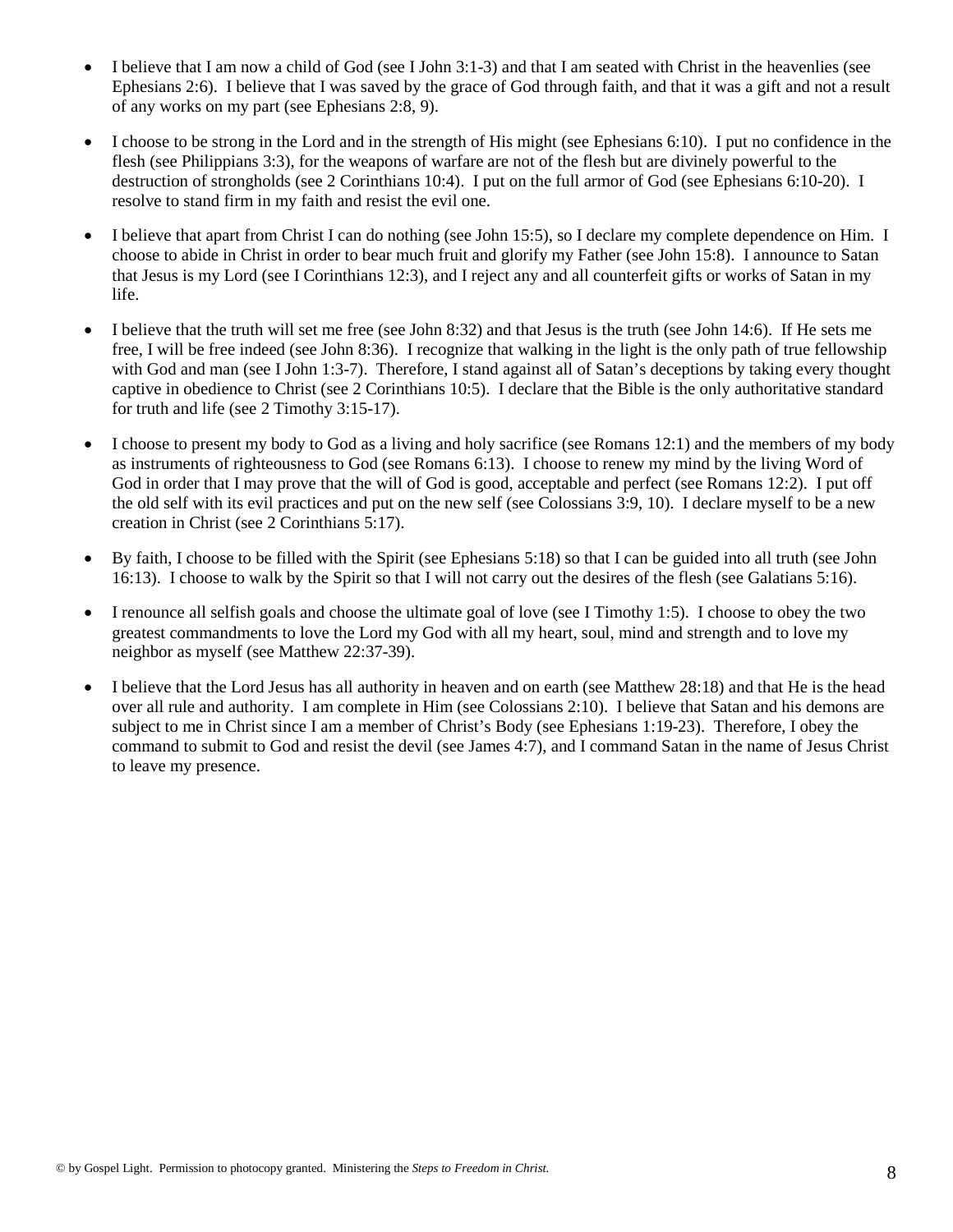- I believe that I am now a child of God (see I John 3:1-3) and that I am seated with Christ in the heavenlies (see Ephesians 2:6). I believe that I was saved by the grace of God through faith, and that it was a gift and not a result of any works on my part (see Ephesians 2:8, 9).
- I choose to be strong in the Lord and in the strength of His might (see Ephesians 6:10). I put no confidence in the flesh (see Philippians 3:3), for the weapons of warfare are not of the flesh but are divinely powerful to the destruction of strongholds (see 2 Corinthians 10:4). I put on the full armor of God (see Ephesians 6:10-20). I resolve to stand firm in my faith and resist the evil one.
- I believe that apart from Christ I can do nothing (see John 15:5), so I declare my complete dependence on Him. I choose to abide in Christ in order to bear much fruit and glorify my Father (see John 15:8). I announce to Satan that Jesus is my Lord (see I Corinthians 12:3), and I reject any and all counterfeit gifts or works of Satan in my life.
- I believe that the truth will set me free (see John 8:32) and that Jesus is the truth (see John 14:6). If He sets me free, I will be free indeed (see John 8:36). I recognize that walking in the light is the only path of true fellowship with God and man (see I John 1:3-7). Therefore, I stand against all of Satan's deceptions by taking every thought captive in obedience to Christ (see 2 Corinthians 10:5). I declare that the Bible is the only authoritative standard for truth and life (see 2 Timothy 3:15-17).
- I choose to present my body to God as a living and holy sacrifice (see Romans 12:1) and the members of my body as instruments of righteousness to God (see Romans 6:13). I choose to renew my mind by the living Word of God in order that I may prove that the will of God is good, acceptable and perfect (see Romans 12:2). I put off the old self with its evil practices and put on the new self (see Colossians 3:9, 10). I declare myself to be a new creation in Christ (see 2 Corinthians 5:17).
- By faith, I choose to be filled with the Spirit (see Ephesians 5:18) so that I can be guided into all truth (see John 16:13). I choose to walk by the Spirit so that I will not carry out the desires of the flesh (see Galatians 5:16).
- I renounce all selfish goals and choose the ultimate goal of love (see I Timothy 1:5). I choose to obey the two greatest commandments to love the Lord my God with all my heart, soul, mind and strength and to love my neighbor as myself (see Matthew 22:37-39).
- I believe that the Lord Jesus has all authority in heaven and on earth (see Matthew 28:18) and that He is the head over all rule and authority. I am complete in Him (see Colossians 2:10). I believe that Satan and his demons are subject to me in Christ since I am a member of Christ's Body (see Ephesians 1:19-23). Therefore, I obey the command to submit to God and resist the devil (see James 4:7), and I command Satan in the name of Jesus Christ to leave my presence.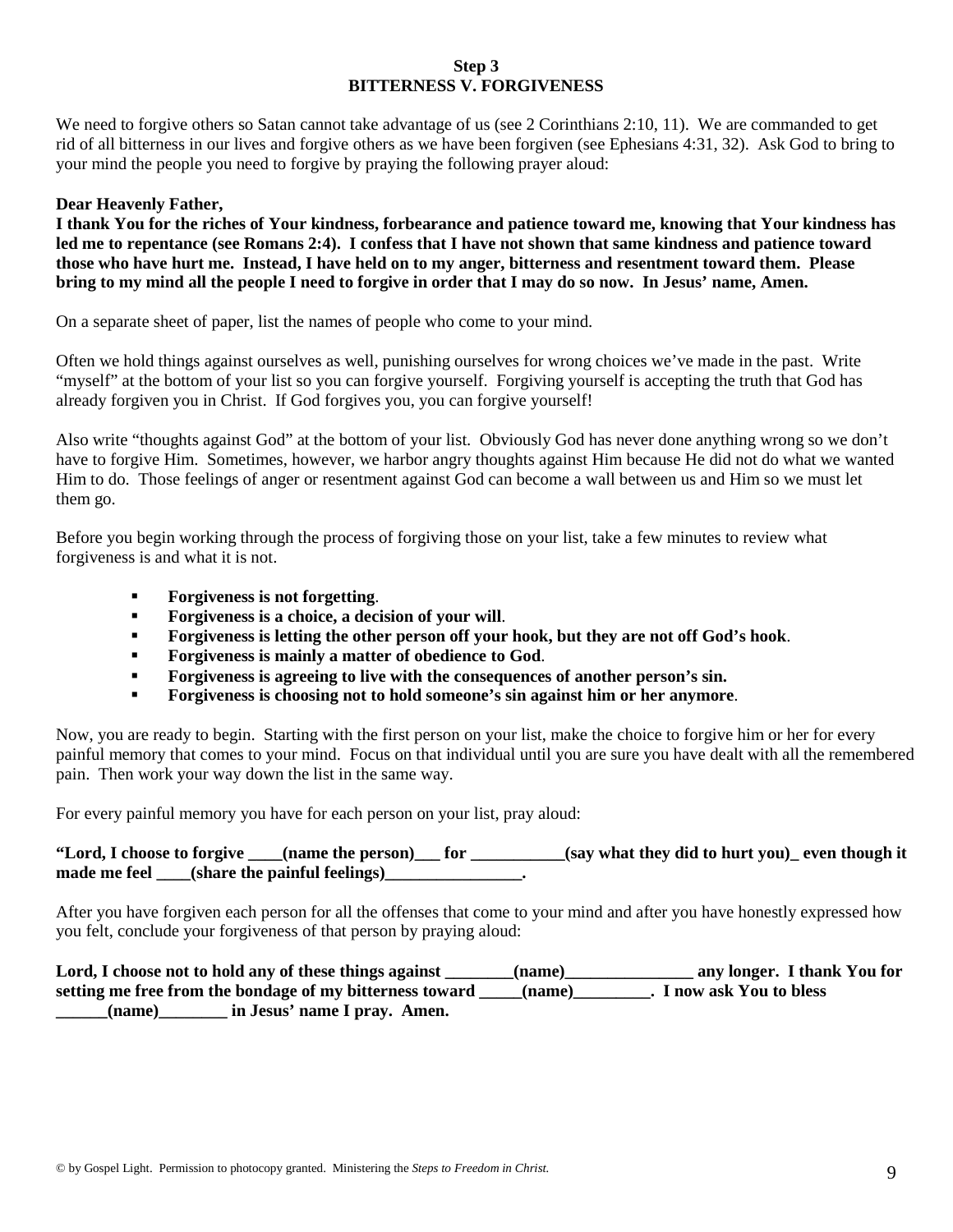#### **Step 3 BITTERNESS V. FORGIVENESS**

We need to forgive others so Satan cannot take advantage of us (see 2 Corinthians 2:10, 11). We are commanded to get rid of all bitterness in our lives and forgive others as we have been forgiven (see Ephesians 4:31, 32). Ask God to bring to your mind the people you need to forgive by praying the following prayer aloud:

#### **Dear Heavenly Father,**

**I thank You for the riches of Your kindness, forbearance and patience toward me, knowing that Your kindness has led me to repentance (see Romans 2:4). I confess that I have not shown that same kindness and patience toward those who have hurt me. Instead, I have held on to my anger, bitterness and resentment toward them. Please bring to my mind all the people I need to forgive in order that I may do so now. In Jesus' name, Amen.**

On a separate sheet of paper, list the names of people who come to your mind.

Often we hold things against ourselves as well, punishing ourselves for wrong choices we've made in the past. Write "myself" at the bottom of your list so you can forgive yourself. Forgiving yourself is accepting the truth that God has already forgiven you in Christ. If God forgives you, you can forgive yourself!

Also write "thoughts against God" at the bottom of your list. Obviously God has never done anything wrong so we don't have to forgive Him. Sometimes, however, we harbor angry thoughts against Him because He did not do what we wanted Him to do. Those feelings of anger or resentment against God can become a wall between us and Him so we must let them go.

Before you begin working through the process of forgiving those on your list, take a few minutes to review what forgiveness is and what it is not.

- **Forgiveness is not forgetting**.
- **Forgiveness is a choice, a decision of your will**.
- **Forgiveness is letting the other person off your hook, but they are not off God's hook**.
- **Forgiveness is mainly a matter of obedience to God**.
- **Forgiveness is agreeing to live with the consequences of another person's sin.**
- **Forgiveness is choosing not to hold someone's sin against him or her anymore**.

Now, you are ready to begin. Starting with the first person on your list, make the choice to forgive him or her for every painful memory that comes to your mind. Focus on that individual until you are sure you have dealt with all the remembered pain. Then work your way down the list in the same way.

For every painful memory you have for each person on your list, pray aloud:

**"Lord, I choose to forgive \_\_\_\_(name the person)** for  $\qquad$  (say what they did to hurt you) \_ even though it made me feel \_\_\_\_(share the painful feelings)\_\_\_\_\_\_\_\_\_\_\_\_\_\_\_\_\_.

After you have forgiven each person for all the offenses that come to your mind and after you have honestly expressed how you felt, conclude your forgiveness of that person by praying aloud:

|        | Lord, I choose not to hold any of these things against   | (name) | any longer. I thank You for |
|--------|----------------------------------------------------------|--------|-----------------------------|
|        | setting me free from the bondage of my bitterness toward | (name) | . I now ask You to bless    |
| (name) | in Jesus' name I pray. Amen.                             |        |                             |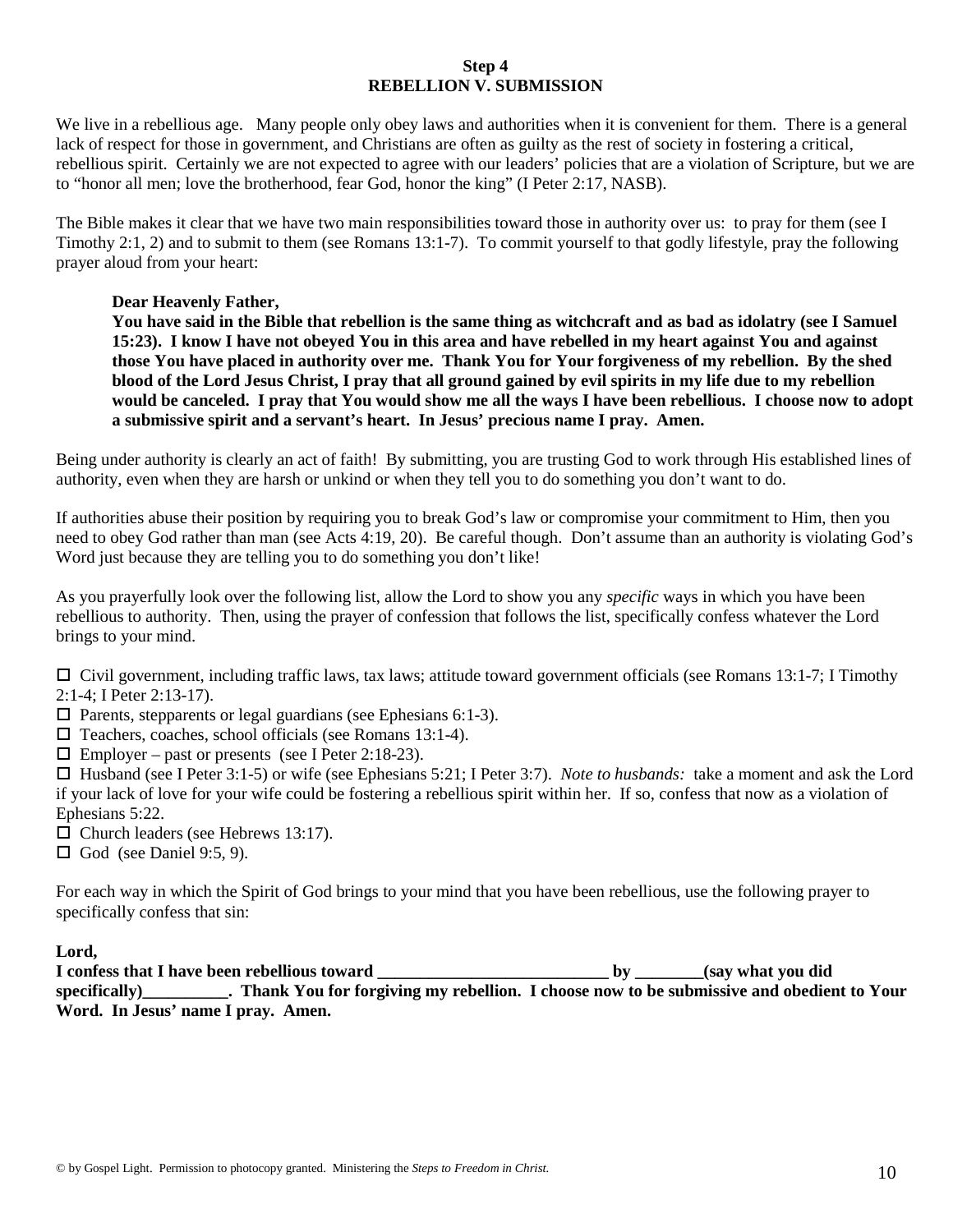#### **Step 4 REBELLION V. SUBMISSION**

We live in a rebellious age. Many people only obey laws and authorities when it is convenient for them. There is a general lack of respect for those in government, and Christians are often as guilty as the rest of society in fostering a critical, rebellious spirit. Certainly we are not expected to agree with our leaders' policies that are a violation of Scripture, but we are to "honor all men; love the brotherhood, fear God, honor the king" (I Peter 2:17, NASB).

The Bible makes it clear that we have two main responsibilities toward those in authority over us: to pray for them (see I Timothy 2:1, 2) and to submit to them (see Romans 13:1-7). To commit yourself to that godly lifestyle, pray the following prayer aloud from your heart:

### **Dear Heavenly Father,**

**You have said in the Bible that rebellion is the same thing as witchcraft and as bad as idolatry (see I Samuel 15:23). I know I have not obeyed You in this area and have rebelled in my heart against You and against those You have placed in authority over me. Thank You for Your forgiveness of my rebellion. By the shed blood of the Lord Jesus Christ, I pray that all ground gained by evil spirits in my life due to my rebellion would be canceled. I pray that You would show me all the ways I have been rebellious. I choose now to adopt a submissive spirit and a servant's heart. In Jesus' precious name I pray. Amen.**

Being under authority is clearly an act of faith! By submitting, you are trusting God to work through His established lines of authority, even when they are harsh or unkind or when they tell you to do something you don't want to do.

If authorities abuse their position by requiring you to break God's law or compromise your commitment to Him, then you need to obey God rather than man (see Acts 4:19, 20). Be careful though. Don't assume than an authority is violating God's Word just because they are telling you to do something you don't like!

As you prayerfully look over the following list, allow the Lord to show you any *specific* ways in which you have been rebellious to authority. Then, using the prayer of confession that follows the list, specifically confess whatever the Lord brings to your mind.

 $\Box$  Civil government, including traffic laws, tax laws; attitude toward government officials (see Romans 13:1-7; I Timothy 2:1-4; I Peter 2:13-17).

- $\Box$  Parents, stepparents or legal guardians (see Ephesians 6:1-3).
- $\Box$  Teachers, coaches, school officials (see Romans 13:1-4).
- $\Box$  Employer past or presents (see I Peter 2:18-23).

 Husband (see I Peter 3:1-5) or wife (see Ephesians 5:21; I Peter 3:7). *Note to husbands:* take a moment and ask the Lord if your lack of love for your wife could be fostering a rebellious spirit within her. If so, confess that now as a violation of Ephesians 5:22.

- $\Box$  Church leaders (see Hebrews 13:17).
- $\Box$  God (see Daniel 9:5, 9).

For each way in which the Spirit of God brings to your mind that you have been rebellious, use the following prayer to specifically confess that sin:

### **Lord,**

**I** confess that I have been rebellious toward **by by** (say what you did **by** specifically) **and Thank You for forgiving my rebellion.** I choose now to be submissive and obedient to Your **Word. In Jesus' name I pray. Amen.**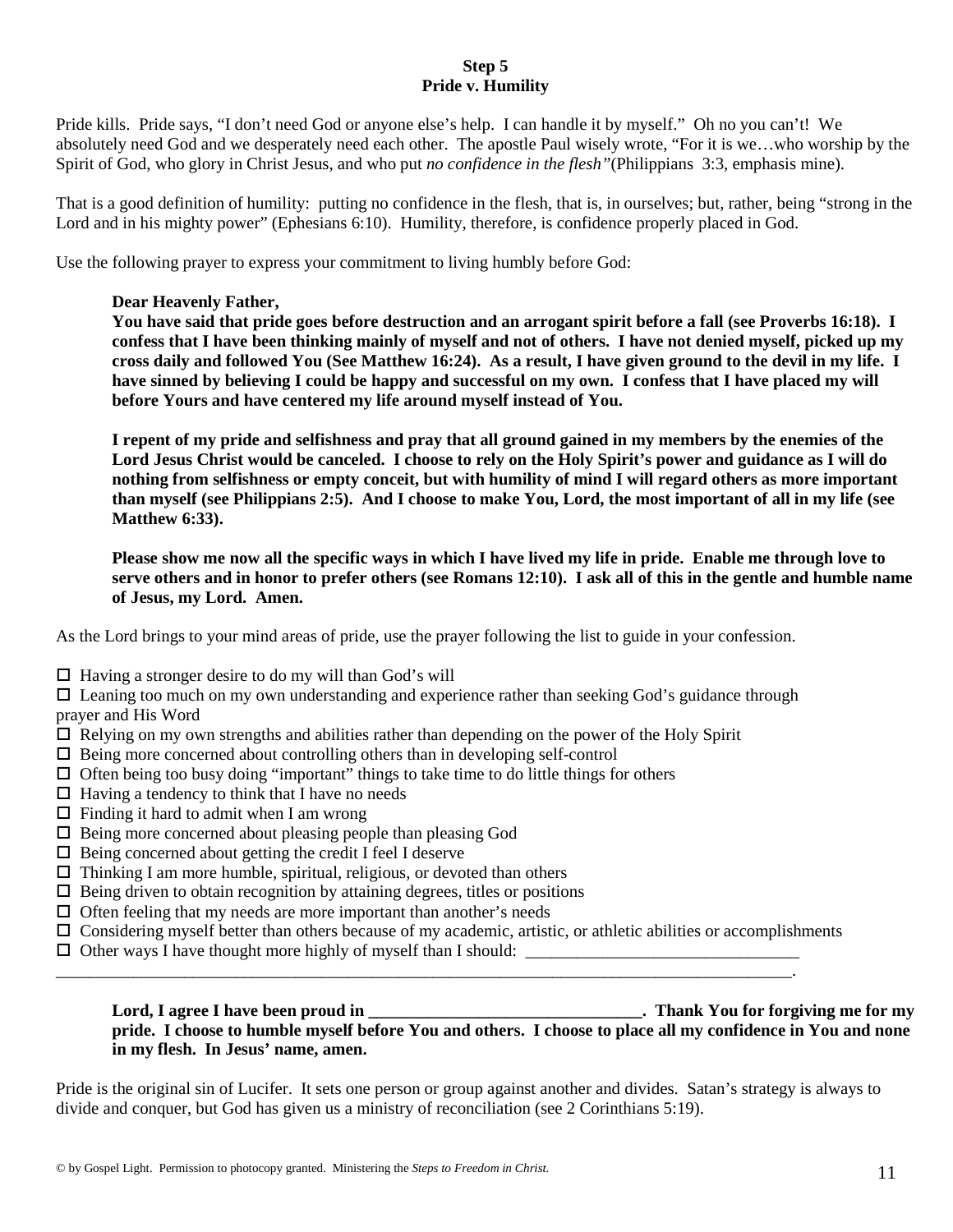## **Step 5 Pride v. Humility**

Pride kills. Pride says, "I don't need God or anyone else's help. I can handle it by myself." Oh no you can't! We absolutely need God and we desperately need each other. The apostle Paul wisely wrote, "For it is we…who worship by the Spirit of God, who glory in Christ Jesus, and who put *no confidence in the flesh"*(Philippians 3:3, emphasis mine).

That is a good definition of humility: putting no confidence in the flesh, that is, in ourselves; but, rather, being "strong in the Lord and in his mighty power" (Ephesians 6:10). Humility, therefore, is confidence properly placed in God.

Use the following prayer to express your commitment to living humbly before God:

### **Dear Heavenly Father,**

**You have said that pride goes before destruction and an arrogant spirit before a fall (see Proverbs 16:18). I confess that I have been thinking mainly of myself and not of others. I have not denied myself, picked up my cross daily and followed You (See Matthew 16:24). As a result, I have given ground to the devil in my life. I have sinned by believing I could be happy and successful on my own. I confess that I have placed my will before Yours and have centered my life around myself instead of You.**

**I repent of my pride and selfishness and pray that all ground gained in my members by the enemies of the Lord Jesus Christ would be canceled. I choose to rely on the Holy Spirit's power and guidance as I will do nothing from selfishness or empty conceit, but with humility of mind I will regard others as more important than myself (see Philippians 2:5). And I choose to make You, Lord, the most important of all in my life (see Matthew 6:33).**

**Please show me now all the specific ways in which I have lived my life in pride. Enable me through love to serve others and in honor to prefer others (see Romans 12:10). I ask all of this in the gentle and humble name of Jesus, my Lord. Amen.**

As the Lord brings to your mind areas of pride, use the prayer following the list to guide in your confession.

- $\Box$  Having a stronger desire to do my will than God's will
- $\Box$  Leaning too much on my own understanding and experience rather than seeking God's guidance through prayer and His Word
- $\Box$  Relying on my own strengths and abilities rather than depending on the power of the Holy Spirit
- $\Box$  Being more concerned about controlling others than in developing self-control
- $\Box$  Often being too busy doing "important" things to take time to do little things for others
- $\Box$  Having a tendency to think that I have no needs
- $\Box$  Finding it hard to admit when I am wrong
- $\Box$  Being more concerned about pleasing people than pleasing God
- $\Box$  Being concerned about getting the credit I feel I deserve
- $\Box$  Thinking I am more humble, spiritual, religious, or devoted than others
- $\Box$  Being driven to obtain recognition by attaining degrees, titles or positions
- $\Box$  Often feeling that my needs are more important than another's needs
- $\Box$  Considering myself better than others because of my academic, artistic, or athletic abilities or accomplishments

\_\_\_\_\_\_\_\_\_\_\_\_\_\_\_\_\_\_\_\_\_\_\_\_\_\_\_\_\_\_\_\_\_\_\_\_\_\_\_\_\_\_\_\_\_\_\_\_\_\_\_\_\_\_\_\_\_\_\_\_\_\_\_\_\_\_\_\_\_\_\_\_\_\_\_\_\_\_\_\_\_\_\_\_\_\_.

 $\Box$  Other ways I have thought more highly of myself than I should:

## **Lord, I agree I have been proud in \_\_\_\_\_\_\_\_\_\_\_\_\_\_\_\_\_\_\_\_\_\_\_\_\_\_\_\_\_\_\_\_. Thank You for forgiving me for my pride. I choose to humble myself before You and others. I choose to place all my confidence in You and none in my flesh. In Jesus' name, amen.**

Pride is the original sin of Lucifer. It sets one person or group against another and divides. Satan's strategy is always to divide and conquer, but God has given us a ministry of reconciliation (see 2 Corinthians 5:19).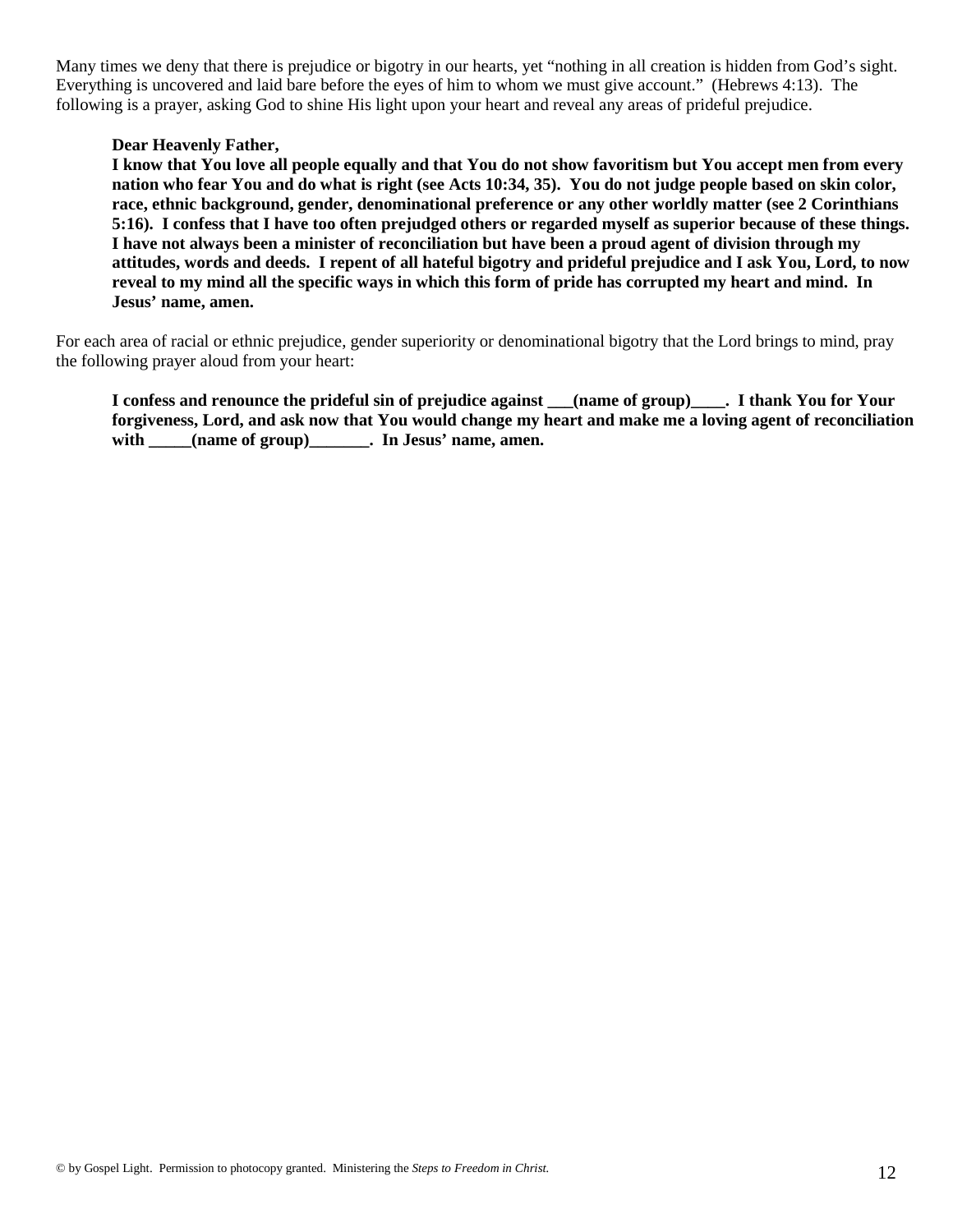Many times we deny that there is prejudice or bigotry in our hearts, yet "nothing in all creation is hidden from God's sight. Everything is uncovered and laid bare before the eyes of him to whom we must give account." (Hebrews 4:13). The following is a prayer, asking God to shine His light upon your heart and reveal any areas of prideful prejudice.

#### **Dear Heavenly Father,**

**I know that You love all people equally and that You do not show favoritism but You accept men from every nation who fear You and do what is right (see Acts 10:34, 35). You do not judge people based on skin color, race, ethnic background, gender, denominational preference or any other worldly matter (see 2 Corinthians 5:16). I confess that I have too often prejudged others or regarded myself as superior because of these things. I have not always been a minister of reconciliation but have been a proud agent of division through my attitudes, words and deeds. I repent of all hateful bigotry and prideful prejudice and I ask You, Lord, to now reveal to my mind all the specific ways in which this form of pride has corrupted my heart and mind. In Jesus' name, amen.**

For each area of racial or ethnic prejudice, gender superiority or denominational bigotry that the Lord brings to mind, pray the following prayer aloud from your heart:

**I confess and renounce the prideful sin of prejudice against \_\_\_(name of group)\_\_\_\_. I thank You for Your forgiveness, Lord, and ask now that You would change my heart and make me a loving agent of reconciliation with \_\_\_\_\_(name of group)\_\_\_\_\_\_\_. In Jesus' name, amen.**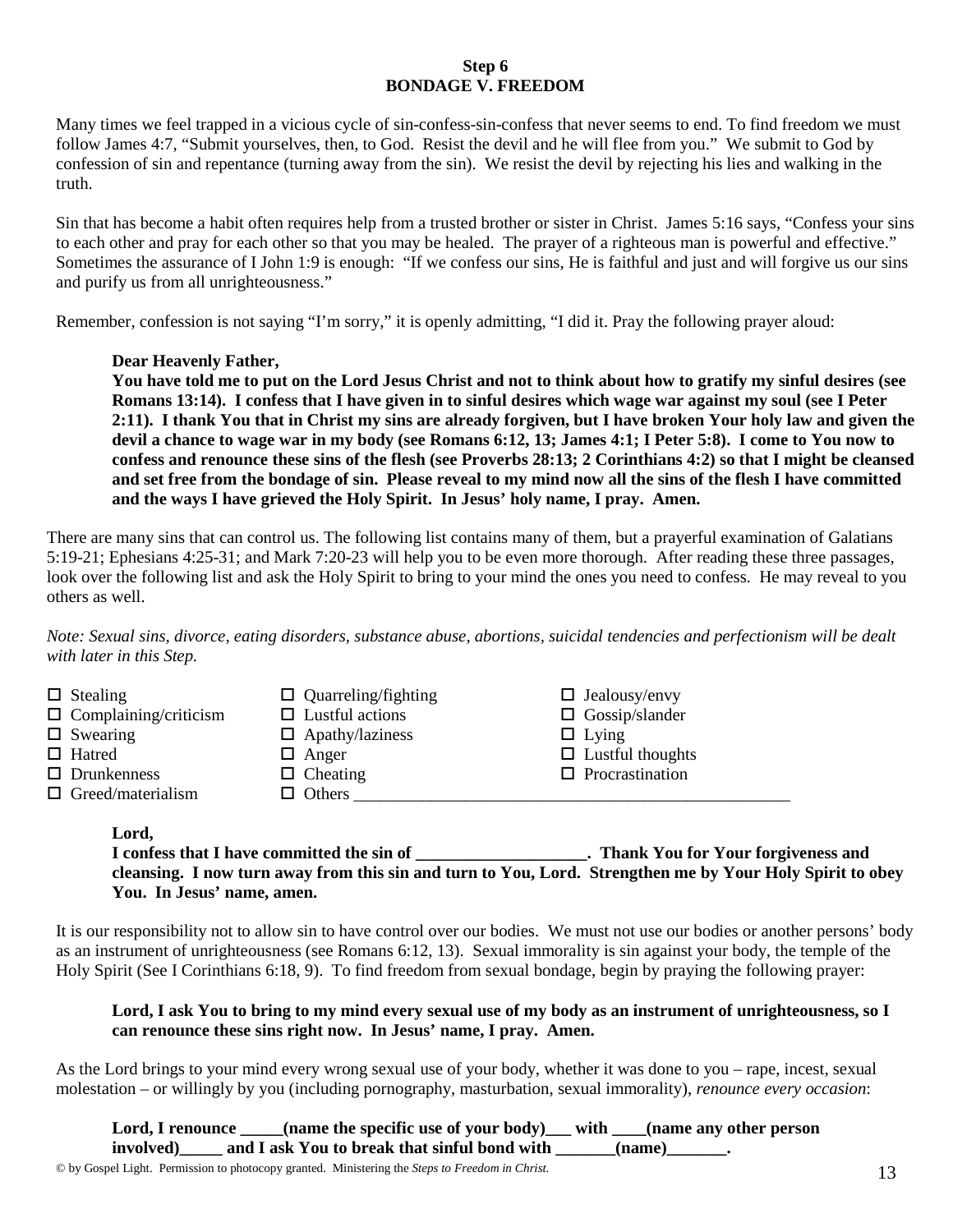### **Step 6 BONDAGE V. FREEDOM**

Many times we feel trapped in a vicious cycle of sin-confess-sin-confess that never seems to end. To find freedom we must follow James 4:7, "Submit yourselves, then, to God. Resist the devil and he will flee from you." We submit to God by confession of sin and repentance (turning away from the sin). We resist the devil by rejecting his lies and walking in the truth.

Sin that has become a habit often requires help from a trusted brother or sister in Christ. James 5:16 says, "Confess your sins to each other and pray for each other so that you may be healed. The prayer of a righteous man is powerful and effective." Sometimes the assurance of I John 1:9 is enough: "If we confess our sins, He is faithful and just and will forgive us our sins and purify us from all unrighteousness."

Remember, confession is not saying "I'm sorry," it is openly admitting, "I did it. Pray the following prayer aloud:

## **Dear Heavenly Father,**

**You have told me to put on the Lord Jesus Christ and not to think about how to gratify my sinful desires (see Romans 13:14). I confess that I have given in to sinful desires which wage war against my soul (see I Peter 2:11). I thank You that in Christ my sins are already forgiven, but I have broken Your holy law and given the devil a chance to wage war in my body (see Romans 6:12, 13; James 4:1; I Peter 5:8). I come to You now to confess and renounce these sins of the flesh (see Proverbs 28:13; 2 Corinthians 4:2) so that I might be cleansed and set free from the bondage of sin. Please reveal to my mind now all the sins of the flesh I have committed and the ways I have grieved the Holy Spirit. In Jesus' holy name, I pray. Amen.**

There are many sins that can control us. The following list contains many of them, but a prayerful examination of Galatians 5:19-21; Ephesians 4:25-31; and Mark 7:20-23 will help you to be even more thorough. After reading these three passages, look over the following list and ask the Holy Spirit to bring to your mind the ones you need to confess. He may reveal to you others as well.

*Note: Sexual sins, divorce, eating disorders, substance abuse, abortions, suicidal tendencies and perfectionism will be dealt with later in this Step.*

| $\Box$ Stealing              | $\Box$ Quarreling/fighting | $\Box$ Jealousy/envy    |
|------------------------------|----------------------------|-------------------------|
| $\Box$ Complaining/criticism | $\Box$ Lustful actions     | $\Box$ Gossip/slander   |
| $\Box$ Swearing              | $\Box$ Apathy/laziness     | $\Box$ Lying            |
| $\Box$ Hatred                | $\Box$ Anger               | $\Box$ Lustful thoughts |
| $\Box$ Drunkenness           | $\Box$ Cheating            | $\Box$ Procrastination  |
| $\Box$ Greed/materialism     | $\Box$ Others              |                         |
|                              |                            |                         |

### **Lord,**

**I** confess that I have committed the sin of  $\qquad \qquad$  Thank You for Your forgiveness and **cleansing. I now turn away from this sin and turn to You, Lord. Strengthen me by Your Holy Spirit to obey You. In Jesus' name, amen.**

It is our responsibility not to allow sin to have control over our bodies. We must not use our bodies or another persons' body as an instrument of unrighteousness (see Romans 6:12, 13). Sexual immorality is sin against your body, the temple of the Holy Spirit (See I Corinthians 6:18, 9). To find freedom from sexual bondage, begin by praying the following prayer:

### **Lord, I ask You to bring to my mind every sexual use of my body as an instrument of unrighteousness, so I can renounce these sins right now. In Jesus' name, I pray. Amen.**

As the Lord brings to your mind every wrong sexual use of your body, whether it was done to you – rape, incest, sexual molestation – or willingly by you (including pornography, masturbation, sexual immorality), *renounce every occasion*:

© by Gospel Light. Permission to photocopy granted. Ministering the *Steps to Freedom in Christ.* 13 Lord, I renounce \_\_\_\_\_(name the specific use of your body)\_\_\_ with \_\_\_(name any other person **involved)** and I ask You to break that sinful bond with  $(name)$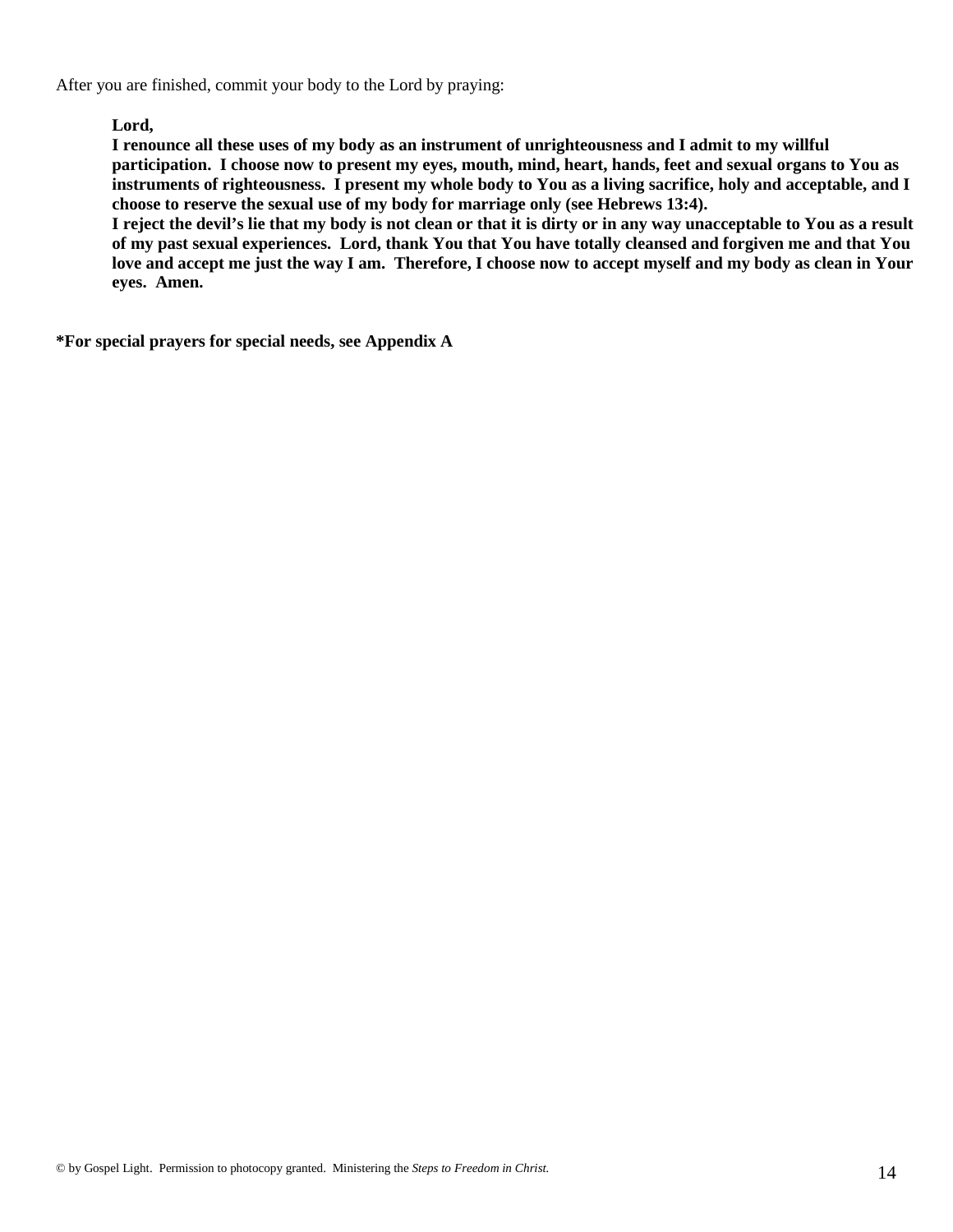After you are finished, commit your body to the Lord by praying:

**Lord,**

**I renounce all these uses of my body as an instrument of unrighteousness and I admit to my willful participation. I choose now to present my eyes, mouth, mind, heart, hands, feet and sexual organs to You as instruments of righteousness. I present my whole body to You as a living sacrifice, holy and acceptable, and I choose to reserve the sexual use of my body for marriage only (see Hebrews 13:4).**

**I reject the devil's lie that my body is not clean or that it is dirty or in any way unacceptable to You as a result of my past sexual experiences. Lord, thank You that You have totally cleansed and forgiven me and that You love and accept me just the way I am. Therefore, I choose now to accept myself and my body as clean in Your eyes. Amen.**

**\*For special prayers for special needs, see Appendix A**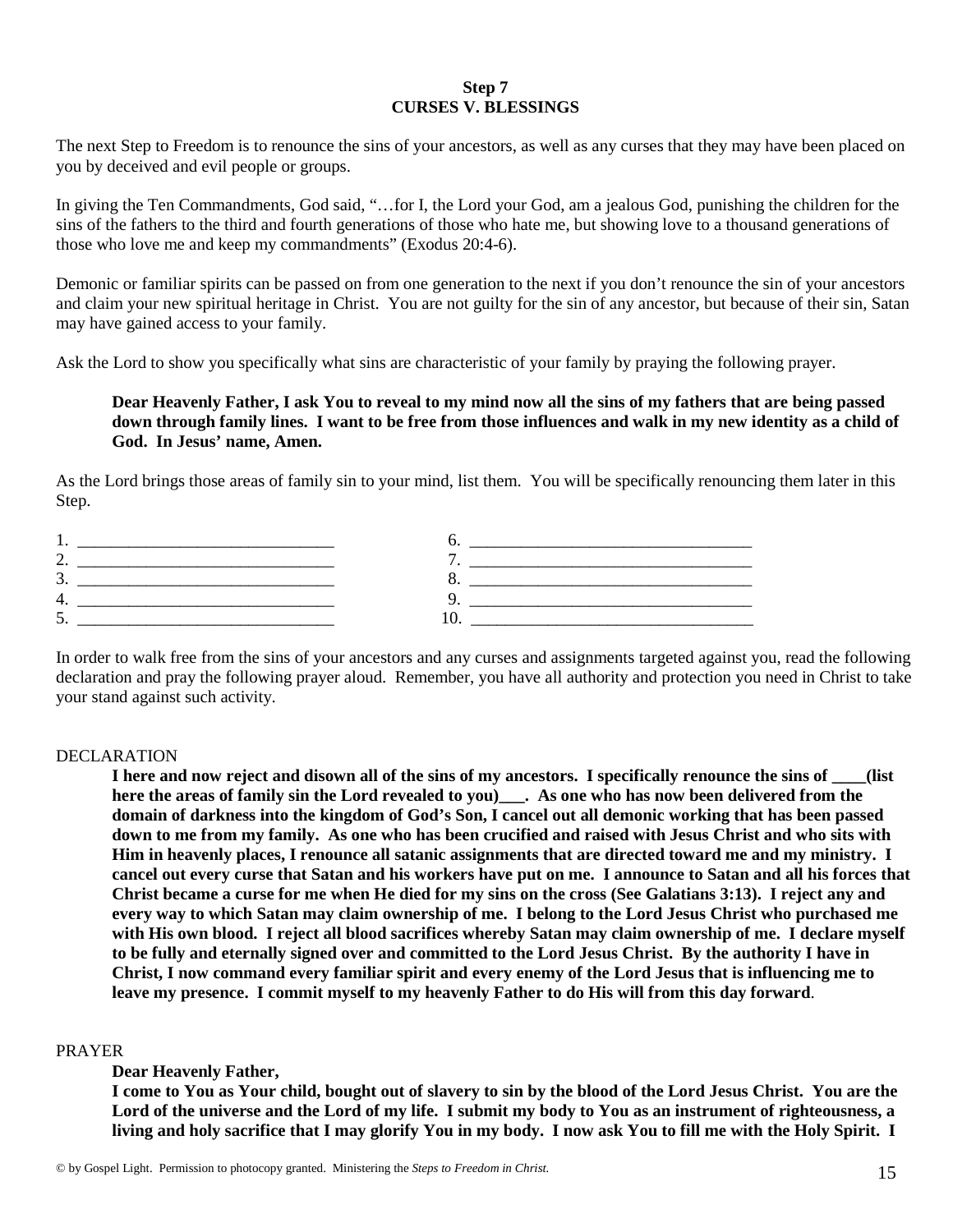### **Step 7 CURSES V. BLESSINGS**

The next Step to Freedom is to renounce the sins of your ancestors, as well as any curses that they may have been placed on you by deceived and evil people or groups.

In giving the Ten Commandments, God said, "...for I, the Lord your God, am a jealous God, punishing the children for the sins of the fathers to the third and fourth generations of those who hate me, but showing love to a thousand generations of those who love me and keep my commandments" (Exodus 20:4-6).

Demonic or familiar spirits can be passed on from one generation to the next if you don't renounce the sin of your ancestors and claim your new spiritual heritage in Christ. You are not guilty for the sin of any ancestor, but because of their sin, Satan may have gained access to your family.

Ask the Lord to show you specifically what sins are characteristic of your family by praying the following prayer.

**Dear Heavenly Father, I ask You to reveal to my mind now all the sins of my fathers that are being passed down through family lines. I want to be free from those influences and walk in my new identity as a child of God. In Jesus' name, Amen.**

As the Lord brings those areas of family sin to your mind, list them. You will be specifically renouncing them later in this Step.

| - |  |
|---|--|
| ◡ |  |
|   |  |
| ັ |  |

In order to walk free from the sins of your ancestors and any curses and assignments targeted against you, read the following declaration and pray the following prayer aloud. Remember, you have all authority and protection you need in Christ to take your stand against such activity.

### DECLARATION

**I here and now reject and disown all of the sins of my ancestors. I specifically renounce the sins of \_\_\_\_(list**  here the areas of family sin the Lord revealed to you)\_\_\_\_. As one who has now been delivered from the **domain of darkness into the kingdom of God's Son, I cancel out all demonic working that has been passed down to me from my family. As one who has been crucified and raised with Jesus Christ and who sits with Him in heavenly places, I renounce all satanic assignments that are directed toward me and my ministry. I cancel out every curse that Satan and his workers have put on me. I announce to Satan and all his forces that Christ became a curse for me when He died for my sins on the cross (See Galatians 3:13). I reject any and every way to which Satan may claim ownership of me. I belong to the Lord Jesus Christ who purchased me with His own blood. I reject all blood sacrifices whereby Satan may claim ownership of me. I declare myself to be fully and eternally signed over and committed to the Lord Jesus Christ. By the authority I have in Christ, I now command every familiar spirit and every enemy of the Lord Jesus that is influencing me to leave my presence. I commit myself to my heavenly Father to do His will from this day forward**.

#### PRAYER

#### **Dear Heavenly Father,**

**I come to You as Your child, bought out of slavery to sin by the blood of the Lord Jesus Christ. You are the Lord of the universe and the Lord of my life. I submit my body to You as an instrument of righteousness, a living and holy sacrifice that I may glorify You in my body. I now ask You to fill me with the Holy Spirit. I**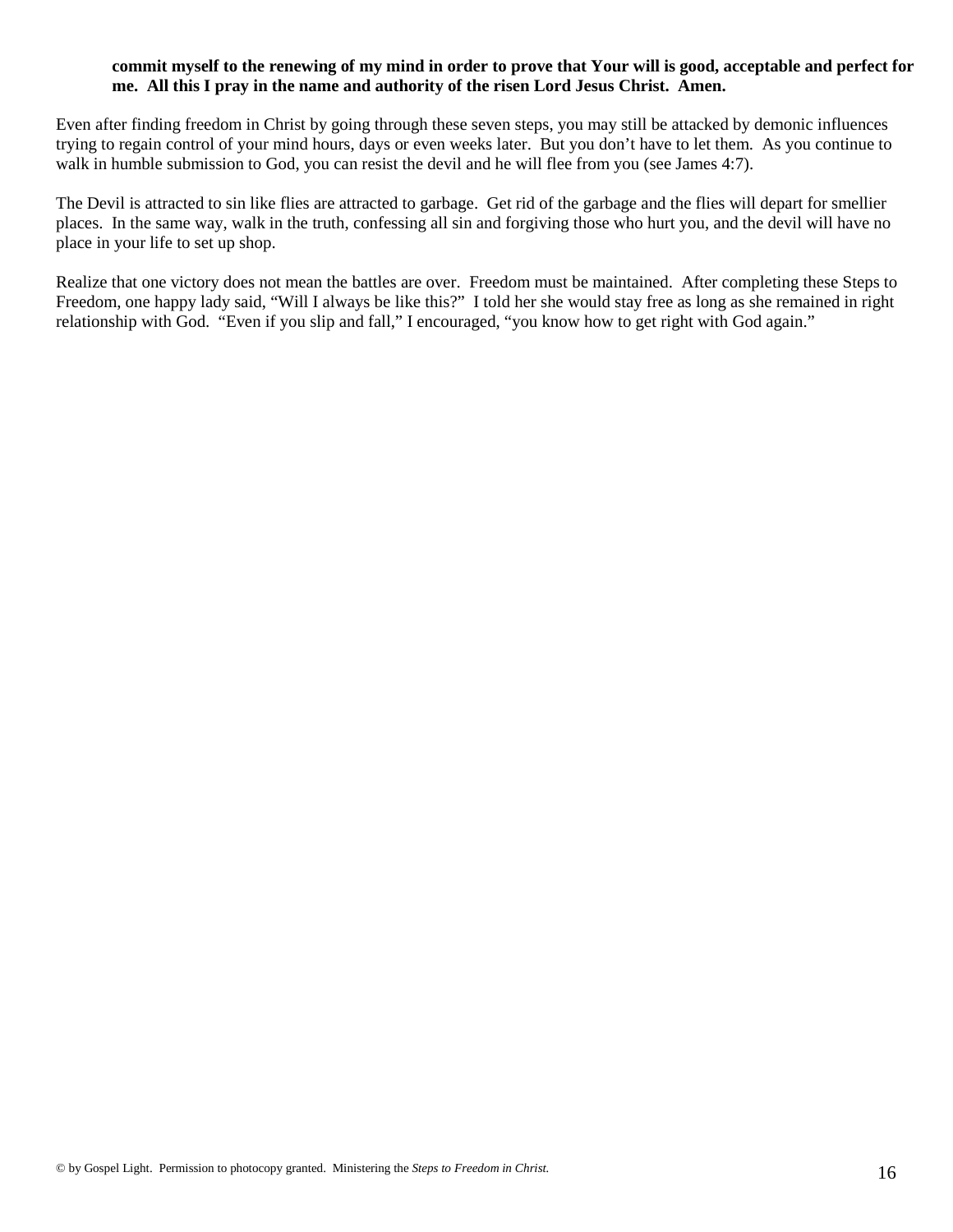#### **commit myself to the renewing of my mind in order to prove that Your will is good, acceptable and perfect for me. All this I pray in the name and authority of the risen Lord Jesus Christ. Amen.**

Even after finding freedom in Christ by going through these seven steps, you may still be attacked by demonic influences trying to regain control of your mind hours, days or even weeks later. But you don't have to let them. As you continue to walk in humble submission to God, you can resist the devil and he will flee from you (see James 4:7).

The Devil is attracted to sin like flies are attracted to garbage. Get rid of the garbage and the flies will depart for smellier places. In the same way, walk in the truth, confessing all sin and forgiving those who hurt you, and the devil will have no place in your life to set up shop.

Realize that one victory does not mean the battles are over. Freedom must be maintained. After completing these Steps to Freedom, one happy lady said, "Will I always be like this?" I told her she would stay free as long as she remained in right relationship with God. "Even if you slip and fall," I encouraged, "you know how to get right with God again."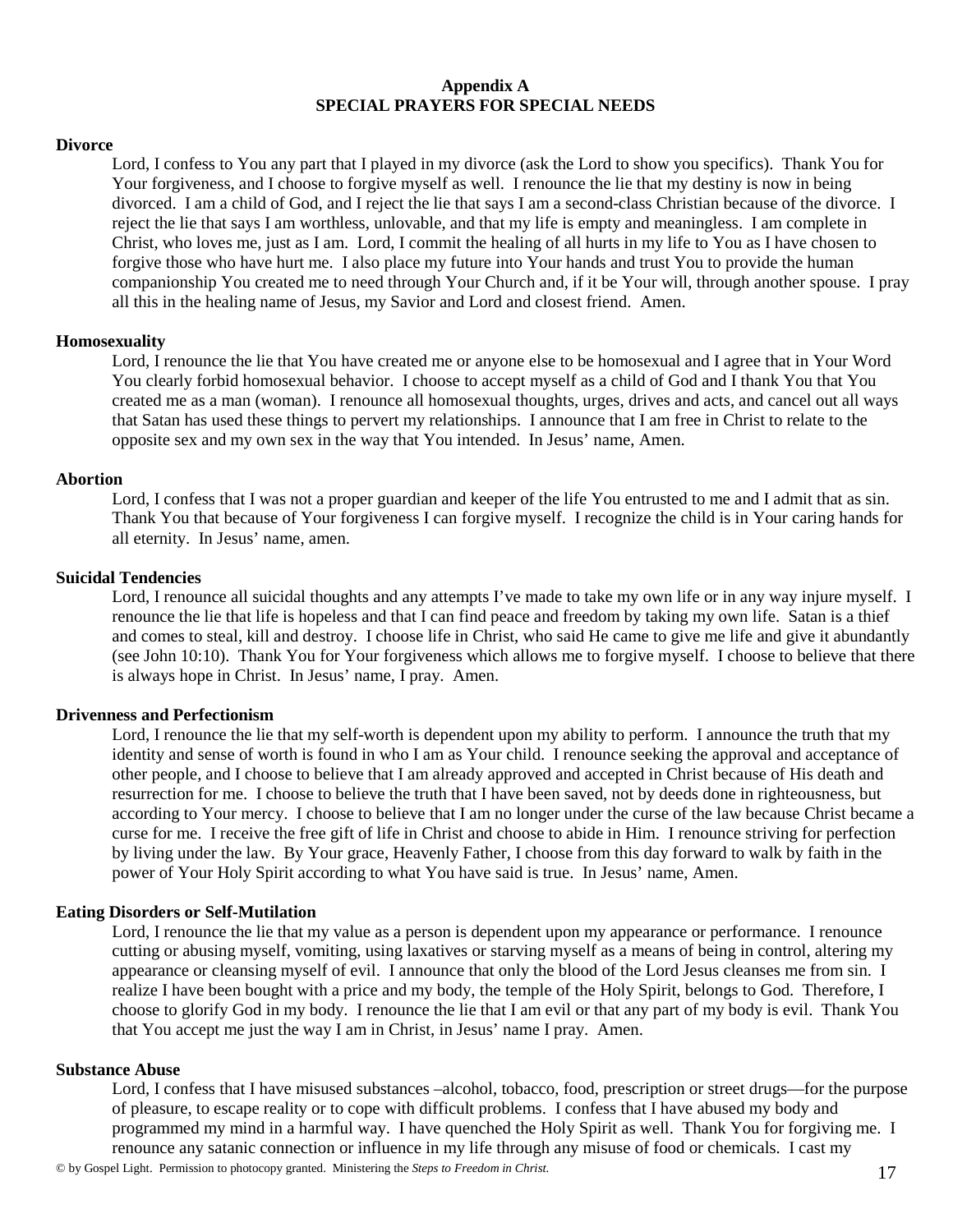#### **Appendix A SPECIAL PRAYERS FOR SPECIAL NEEDS**

#### **Divorce**

Lord, I confess to You any part that I played in my divorce (ask the Lord to show you specifics). Thank You for Your forgiveness, and I choose to forgive myself as well. I renounce the lie that my destiny is now in being divorced. I am a child of God, and I reject the lie that says I am a second-class Christian because of the divorce. I reject the lie that says I am worthless, unlovable, and that my life is empty and meaningless. I am complete in Christ, who loves me, just as I am. Lord, I commit the healing of all hurts in my life to You as I have chosen to forgive those who have hurt me. I also place my future into Your hands and trust You to provide the human companionship You created me to need through Your Church and, if it be Your will, through another spouse. I pray all this in the healing name of Jesus, my Savior and Lord and closest friend. Amen.

#### **Homosexuality**

Lord, I renounce the lie that You have created me or anyone else to be homosexual and I agree that in Your Word You clearly forbid homosexual behavior. I choose to accept myself as a child of God and I thank You that You created me as a man (woman). I renounce all homosexual thoughts, urges, drives and acts, and cancel out all ways that Satan has used these things to pervert my relationships. I announce that I am free in Christ to relate to the opposite sex and my own sex in the way that You intended. In Jesus' name, Amen.

#### **Abortion**

Lord, I confess that I was not a proper guardian and keeper of the life You entrusted to me and I admit that as sin. Thank You that because of Your forgiveness I can forgive myself. I recognize the child is in Your caring hands for all eternity. In Jesus' name, amen.

#### **Suicidal Tendencies**

Lord, I renounce all suicidal thoughts and any attempts I've made to take my own life or in any way injure myself. I renounce the lie that life is hopeless and that I can find peace and freedom by taking my own life. Satan is a thief and comes to steal, kill and destroy. I choose life in Christ, who said He came to give me life and give it abundantly (see John 10:10). Thank You for Your forgiveness which allows me to forgive myself. I choose to believe that there is always hope in Christ. In Jesus' name, I pray. Amen.

#### **Drivenness and Perfectionism**

Lord, I renounce the lie that my self-worth is dependent upon my ability to perform. I announce the truth that my identity and sense of worth is found in who I am as Your child. I renounce seeking the approval and acceptance of other people, and I choose to believe that I am already approved and accepted in Christ because of His death and resurrection for me. I choose to believe the truth that I have been saved, not by deeds done in righteousness, but according to Your mercy. I choose to believe that I am no longer under the curse of the law because Christ became a curse for me. I receive the free gift of life in Christ and choose to abide in Him. I renounce striving for perfection by living under the law. By Your grace, Heavenly Father, I choose from this day forward to walk by faith in the power of Your Holy Spirit according to what You have said is true. In Jesus' name, Amen.

#### **Eating Disorders or Self-Mutilation**

Lord, I renounce the lie that my value as a person is dependent upon my appearance or performance. I renounce cutting or abusing myself, vomiting, using laxatives or starving myself as a means of being in control, altering my appearance or cleansing myself of evil. I announce that only the blood of the Lord Jesus cleanses me from sin. I realize I have been bought with a price and my body, the temple of the Holy Spirit, belongs to God. Therefore, I choose to glorify God in my body. I renounce the lie that I am evil or that any part of my body is evil. Thank You that You accept me just the way I am in Christ, in Jesus' name I pray. Amen.

### **Substance Abuse**

Lord, I confess that I have misused substances –alcohol, tobacco, food, prescription or street drugs—for the purpose of pleasure, to escape reality or to cope with difficult problems. I confess that I have abused my body and programmed my mind in a harmful way. I have quenched the Holy Spirit as well. Thank You for forgiving me. I renounce any satanic connection or influence in my life through any misuse of food or chemicals. I cast my